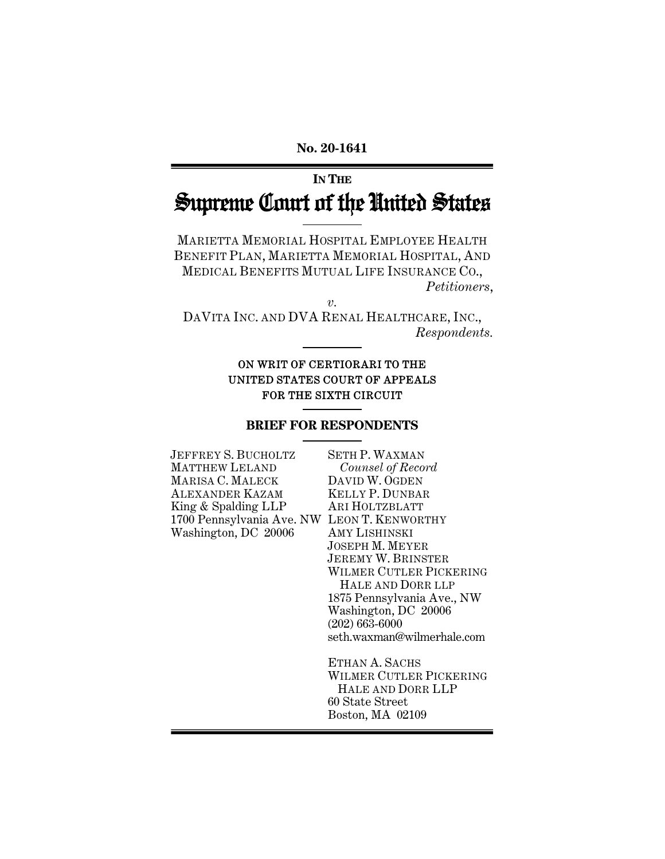#### **No. 20-1641**

# **IN THE** Supreme Court of the United States

MARIETTA MEMORIAL HOSPITAL EMPLOYEE HEALTH BENEFIT PLAN, MARIETTA MEMORIAL HOSPITAL, AND MEDICAL BENEFITS MUTUAL LIFE INSURANCE CO., *Petitioners*,

*v.* 

DAVITA INC. AND DVA RENAL HEALTHCARE, INC., *Respondents.* 

## ON WRIT OF CERTIORARI TO THE UNITED STATES COURT OF APPEALS FOR THE SIXTH CIRCUIT

#### **BRIEF FOR RESPONDENTS**

| JEFFREY S. BUCHOLTZ                         | <b>SETH P. WAXMAN</b>     |
|---------------------------------------------|---------------------------|
| <b>MATTHEW LELAND</b>                       | Counsel of Record         |
| MARISA C. MALECK                            | DAVID W. OGDEN            |
| ALEXANDER KAZAM                             | <b>KELLY P. DUNBAR</b>    |
| King & Spalding LLP                         | ARI HOLTZBLATT            |
| 1700 Pennsylvania Ave. NW LEON T. KENWORTHY |                           |
| Washington, DC 20006                        | AMY LISHINSKI             |
|                                             | <b>JOSEPH M. MEYER</b>    |
|                                             | <b>JEREMY W. BRINSTER</b> |
|                                             | <b>WILMER CUTLER PICI</b> |
|                                             | HALE AND DORR LL          |
|                                             | 1875 Pennsylvania Ave     |
|                                             | Washington, DC 20006      |
|                                             | $(202)$ 663-6000          |
|                                             | seth.waxman@wilmerh       |
|                                             |                           |
|                                             | ETHAN A. SACHS            |
|                                             | <b>WILMER CUTLER PICI</b> |

JEREMY W. BRINSTER KERING HALE AND DORR LLP e., NW<br>6 Washington, DC 20006 ale.com

**KERING**  HALE AND DORR LLP 60 State Street Boston, MA 02109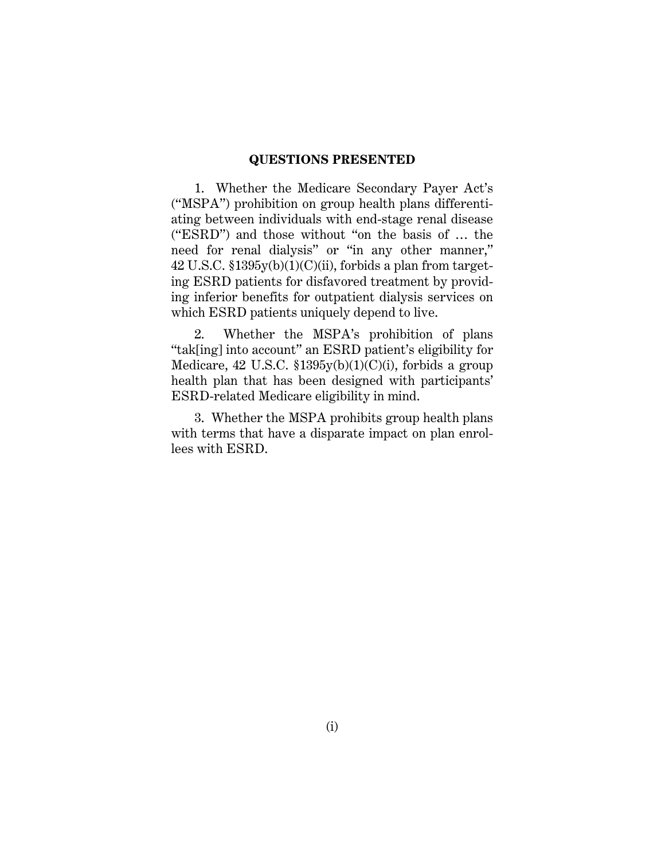#### **QUESTIONS PRESENTED**

1. Whether the Medicare Secondary Payer Act's ("MSPA") prohibition on group health plans differentiating between individuals with end-stage renal disease ("ESRD") and those without "on the basis of … the need for renal dialysis" or "in any other manner,"  $42$  U.S.C.  $$1395y(b)(1)(C)(ii)$ , forbids a plan from targeting ESRD patients for disfavored treatment by providing inferior benefits for outpatient dialysis services on which ESRD patients uniquely depend to live.

2. Whether the MSPA's prohibition of plans "tak[ing] into account" an ESRD patient's eligibility for Medicare, 42 U.S.C.  $$1395y(b)(1)(C)(i)$ , forbids a group health plan that has been designed with participants' ESRD-related Medicare eligibility in mind.

3. Whether the MSPA prohibits group health plans with terms that have a disparate impact on plan enrollees with ESRD.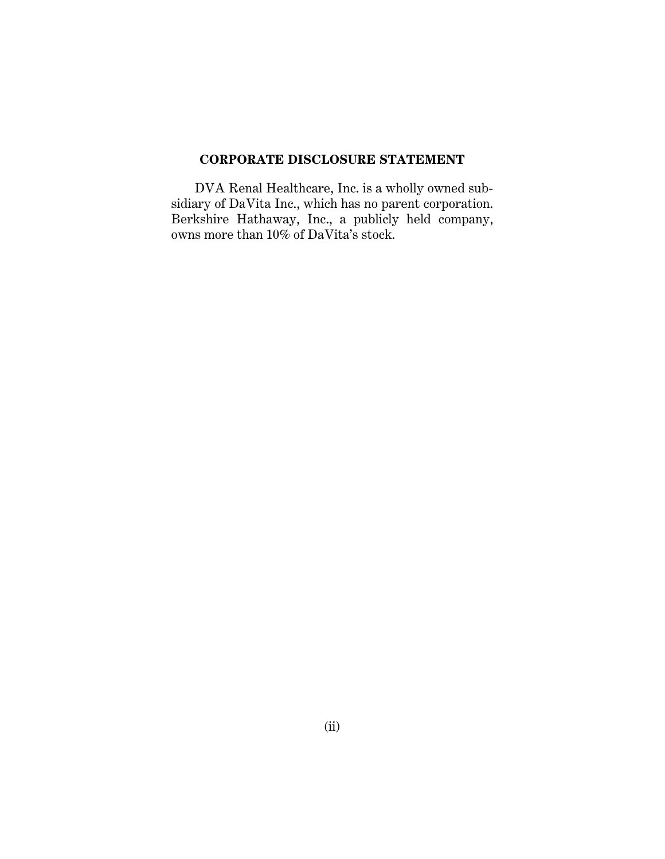# **CORPORATE DISCLOSURE STATEMENT**

DVA Renal Healthcare, Inc. is a wholly owned subsidiary of DaVita Inc., which has no parent corporation. Berkshire Hathaway, Inc., a publicly held company, owns more than 10% of DaVita's stock.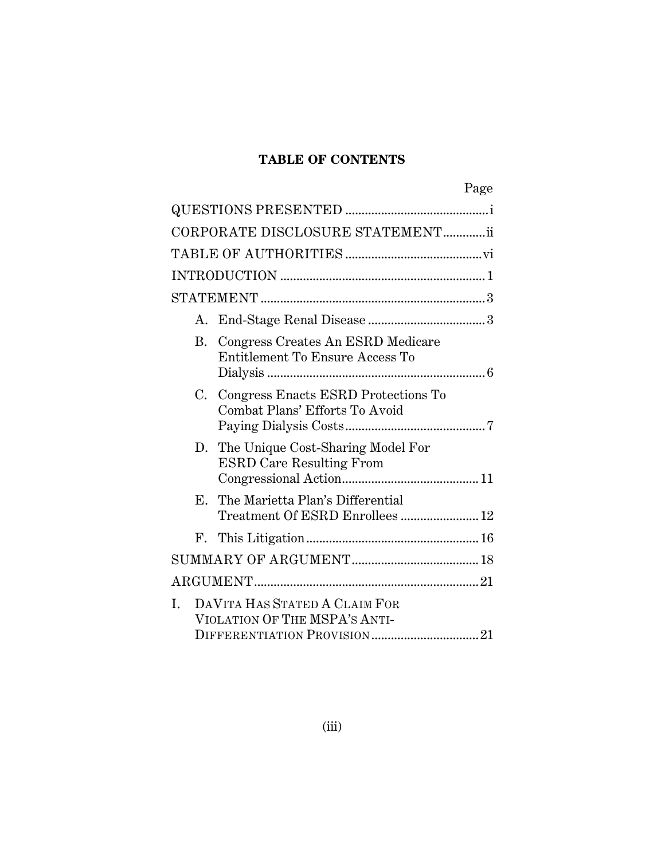# **TABLE OF CONTENTS**

|    |    |                                                                          | Page |
|----|----|--------------------------------------------------------------------------|------|
|    |    |                                                                          |      |
|    |    | CORPORATE DISCLOSURE STATEMENTii                                         |      |
|    |    |                                                                          |      |
|    |    |                                                                          |      |
|    |    |                                                                          |      |
|    | А. |                                                                          |      |
|    |    | B. Congress Creates An ESRD Medicare<br>Entitlement To Ensure Access To  |      |
|    |    | C. Congress Enacts ESRD Protections To<br>Combat Plans' Efforts To Avoid |      |
|    | D. | The Unique Cost-Sharing Model For<br><b>ESRD Care Resulting From</b>     |      |
|    |    | E. The Marietta Plan's Differential                                      |      |
|    |    |                                                                          |      |
|    |    |                                                                          |      |
|    |    |                                                                          |      |
| I. |    | DAVITA HAS STATED A CLAIM FOR<br>VIOLATION OF THE MSPA'S ANTI-           |      |
|    |    |                                                                          |      |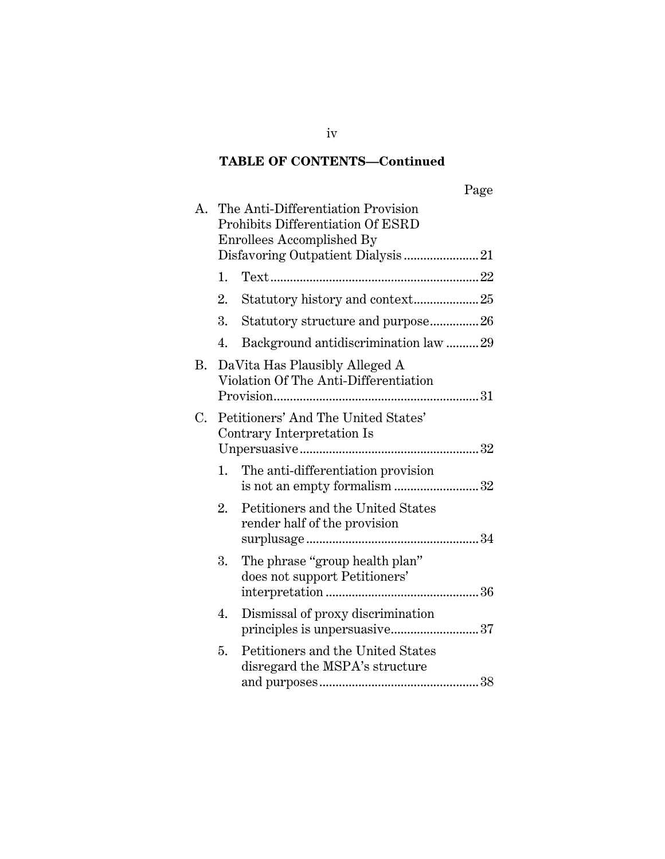# **TABLE OF CONTENTS—Continued**

|--|

| A. |    | The Anti-Differentiation Provision<br>Prohibits Differentiation Of ESRD<br><b>Enrollees Accomplished By</b><br>Disfavoring Outpatient Dialysis21 |
|----|----|--------------------------------------------------------------------------------------------------------------------------------------------------|
|    |    |                                                                                                                                                  |
|    | 2. | Statutory history and context25                                                                                                                  |
|    | 3. | Statutory structure and purpose26                                                                                                                |
|    | 4. | Background antidiscrimination law  29                                                                                                            |
| В. |    | DaVita Has Plausibly Alleged A<br>Violation Of The Anti-Differentiation                                                                          |
| С. |    | Petitioners' And The United States'<br>Contrary Interpretation Is                                                                                |
|    | 1. | The anti-differentiation provision<br>is not an empty formalism 32                                                                               |
|    | 2. | Petitioners and the United States<br>render half of the provision                                                                                |
|    | 3. | The phrase "group health plan"<br>does not support Petitioners'                                                                                  |
|    | 4. | Dismissal of proxy discrimination                                                                                                                |
|    | 5. | Petitioners and the United States<br>disregard the MSPA's structure                                                                              |

iv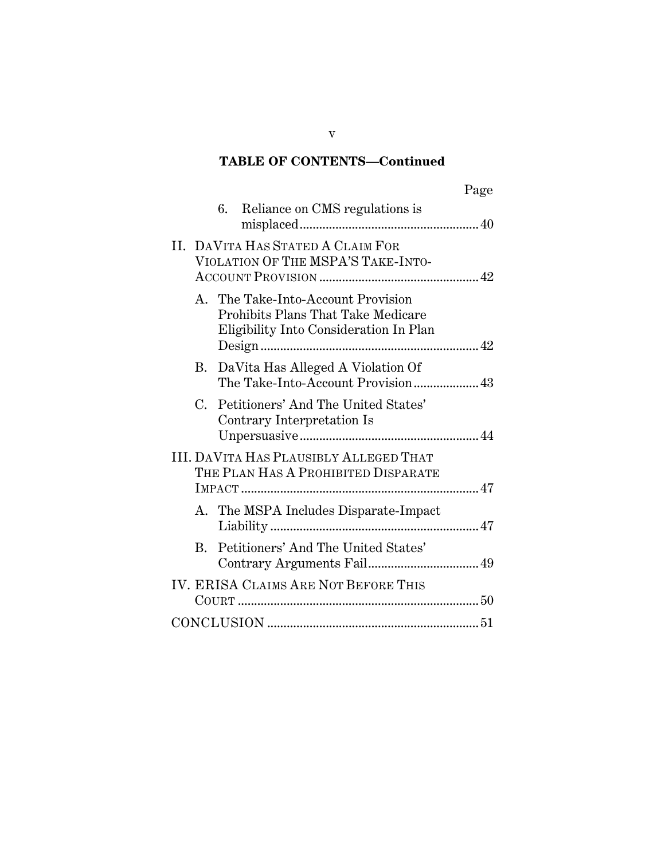# **TABLE OF CONTENTS—Continued**

|            |                                                                                                                    | Page |
|------------|--------------------------------------------------------------------------------------------------------------------|------|
|            | Reliance on CMS regulations is<br>6.                                                                               |      |
|            | II. DAVITA HAS STATED A CLAIM FOR<br>VIOLATION OF THE MSPA'S TAKE-INTO-                                            |      |
|            | A. The Take-Into-Account Provision<br>Prohibits Plans That Take Medicare<br>Eligibility Into Consideration In Plan |      |
|            | B. DaVita Has Alleged A Violation Of                                                                               |      |
| C.         | Petitioners' And The United States'<br>Contrary Interpretation Is                                                  |      |
|            | <b>III. DAVITA HAS PLAUSIBLY ALLEGED THAT</b><br>THE PLAN HAS A PROHIBITED DISPARATE                               |      |
|            | A. The MSPA Includes Disparate-Impact                                                                              |      |
| $\rm{B}$ . | Petitioners' And The United States'                                                                                |      |
|            | <b>IV. ERISA CLAIMS ARE NOT BEFORE THIS</b>                                                                        |      |
|            |                                                                                                                    |      |

v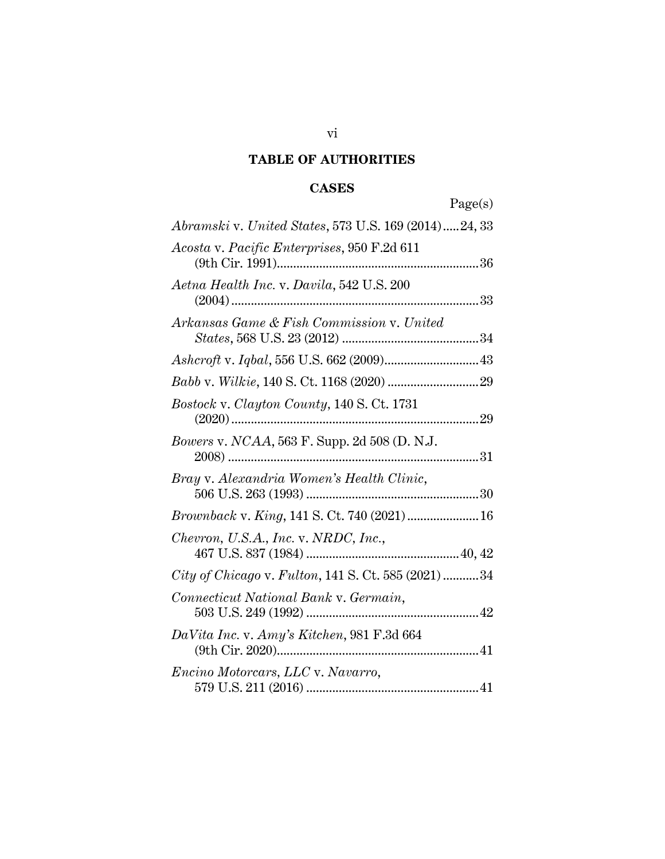#### **TABLE OF AUTHORITIES**

#### **CASES**

Page(s) *Abramski* v. *United States*, 573 U.S. 169 (2014) ..... 24, 33 *Acosta* v. *Pacific Enterprises*, 950 F.2d 611 (9th Cir. 1991) .............................................................. 36 *Aetna Health Inc.* v. *Davila*, 542 U.S. 200 (2004) ............................................................................ 33 *Arkansas Game & Fish Commission* v. *United States*, 568 U.S. 23 (2012) .......................................... 34 *Ashcroft* v. *Iqbal*, 556 U.S. 662 (2009) ............................. 43 *Babb* v. *Wilkie*, 140 S. Ct. 1168 (2020) ............................ 29 *Bostock* v. *Clayton County,* 140 S. Ct. 1731 (2020) ............................................................................ 29 *Bowers* v. *NCAA*, 563 F. Supp. 2d 508 (D. N.J. 2008) ............................................................................. 31 *Bray* v. *Alexandria Women's Health Clinic*, 506 U.S. 263 (1993) ..................................................... 30 *Brownback* v. *King*, 141 S. Ct. 740 (2021) ...................... 16 *Chevron, U.S.A., Inc.* v. *NRDC, Inc.*, 467 U.S. 837 (1984) ............................................... 40, 42 *City of Chicago* v. *Fulton*, 141 S. Ct. 585 (2021) ........... 34 *Connecticut National Bank* v. *Germain*, 503 U.S. 249 (1992) ..................................................... 42 *DaVita Inc.* v. *Amy's Kitchen*, 981 F.3d 664 (9th Cir. 2020) .............................................................. 41 *Encino Motorcars, LLC* v. *Navarro*, 579 U.S. 211 (2016) ..................................................... 41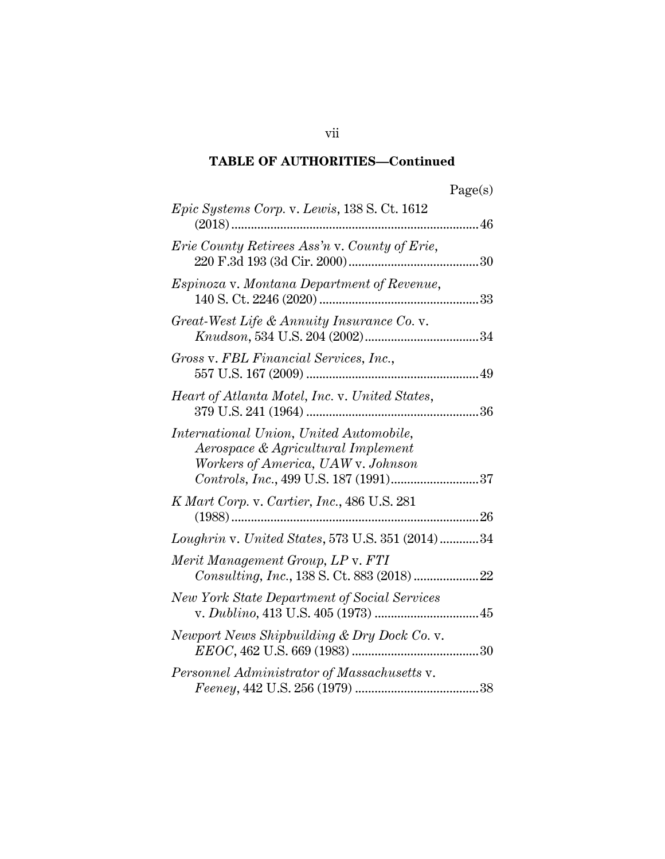| ager<br>v.<br>c |
|-----------------|
|-----------------|

| Epic Systems Corp. v. Lewis, 138 S. Ct. 1612<br>46<br>$(2018)$                                                      |
|---------------------------------------------------------------------------------------------------------------------|
| Erie County Retirees Ass'n v. County of Erie,                                                                       |
| Espinoza v. Montana Department of Revenue,                                                                          |
| Great-West Life & Annuity Insurance Co. v.                                                                          |
| Gross v. FBL Financial Services, Inc.,                                                                              |
| Heart of Atlanta Motel, Inc. v. United States,                                                                      |
| International Union, United Automobile,<br>Aerospace & Agricultural Implement<br>Workers of America, UAW v. Johnson |
| K Mart Corp. v. Cartier, Inc., 486 U.S. 281                                                                         |
| <i>Loughrin</i> v. United States, 573 U.S. 351 (2014)34                                                             |
| Merit Management Group, LP v. FTI<br>Consulting, Inc., 138 S. Ct. 883 (2018) 22                                     |
| <b>New York State Department of Social Services</b>                                                                 |
| Newport News Shipbuilding & Dry Dock Co. v.                                                                         |
| Personnel Administrator of Massachusetts v.                                                                         |

vii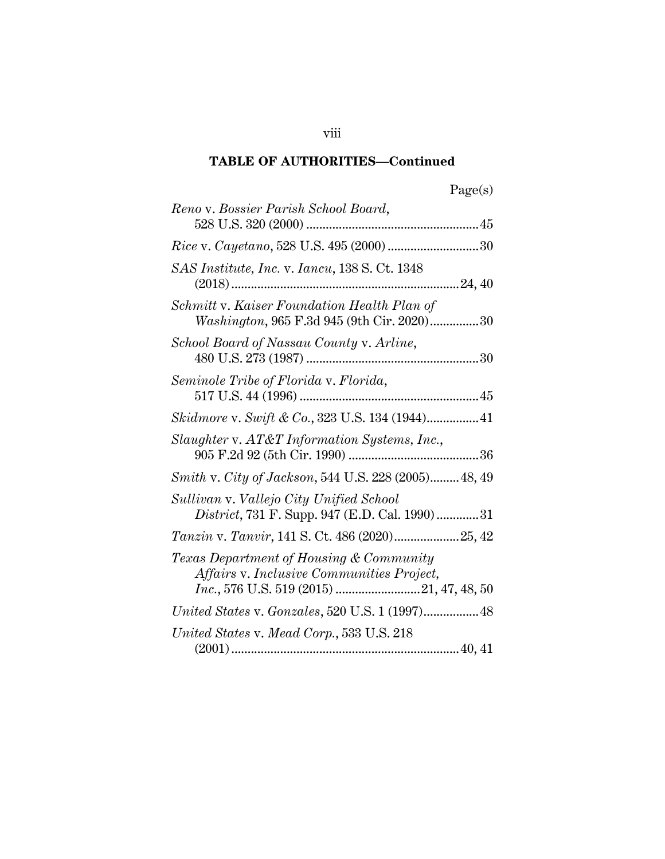| agets |
|-------|
|-------|

| Reno v. Bossier Parish School Board,                                                      |
|-------------------------------------------------------------------------------------------|
|                                                                                           |
| SAS Institute, Inc. v. Iancu, 138 S. Ct. 1348                                             |
| Schmitt v. Kaiser Foundation Health Plan of<br>Washington, 965 F.3d 945 (9th Cir. 2020)30 |
| School Board of Nassau County v. Arline,                                                  |
| Seminole Tribe of Florida v. Florida,                                                     |
| Skidmore v. Swift & Co., 323 U.S. 134 (1944) 41                                           |
| Slaughter v. AT&T Information Systems, Inc.,                                              |
| Smith v. City of Jackson, 544 U.S. 228 (2005) 48, 49                                      |
| Sullivan v. Vallejo City Unified School<br>District, 731 F. Supp. 947 (E.D. Cal. 1990)31  |
| Tanzin v. Tanvir, 141 S. Ct. 486 (2020)25, 42                                             |
| Texas Department of Housing & Community<br>Affairs v. Inclusive Communities Project,      |
|                                                                                           |
| United States v. Mead Corp., 533 U.S. 218                                                 |

viii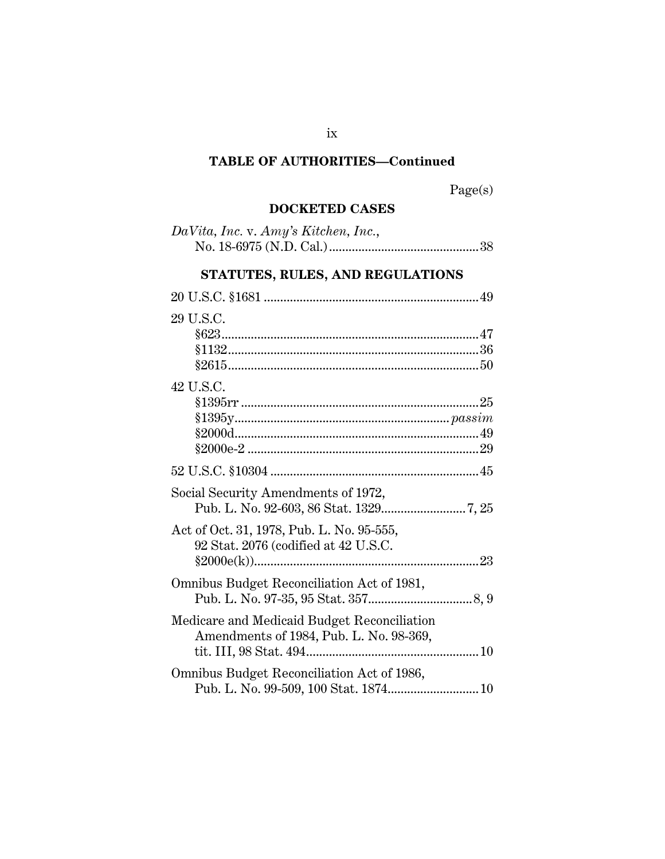Page(s)

# **DOCKETED CASES**

| DaVita, Inc. v. Amy's Kitchen, Inc., |  |
|--------------------------------------|--|
|                                      |  |
|                                      |  |
| STATUTES, RULES, AND REGULATIONS     |  |

| 29 U.S.C.                                                                              |  |
|----------------------------------------------------------------------------------------|--|
| 42 U.S.C.<br>$\$1395$ rr ……………………………………………………………………25                                  |  |
|                                                                                        |  |
| Social Security Amendments of 1972,<br>Act of Oct. 31, 1978, Pub. L. No. 95-555,       |  |
| 92 Stat. 2076 (codified at 42 U.S.C.                                                   |  |
| Omnibus Budget Reconciliation Act of 1981,                                             |  |
| Medicare and Medicaid Budget Reconciliation<br>Amendments of 1984, Pub. L. No. 98-369, |  |
| Omnibus Budget Reconciliation Act of 1986,                                             |  |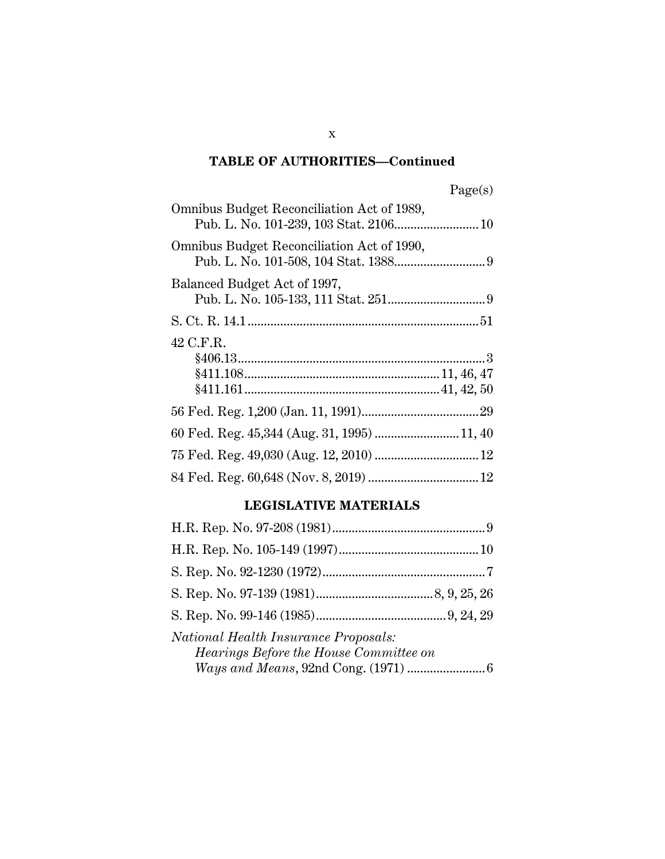| Omnibus Budget Reconciliation Act of 1989,<br>Pub. L. No. 101-239, 103 Stat. 2106 10 |
|--------------------------------------------------------------------------------------|
| Omnibus Budget Reconciliation Act of 1990,                                           |
| Balanced Budget Act of 1997,                                                         |
|                                                                                      |
| 42 C.F.R.                                                                            |
|                                                                                      |
| 60 Fed. Reg. 45,344 (Aug. 31, 1995)  11, 40                                          |
|                                                                                      |
|                                                                                      |

# **LEGISLATIVE MATERIALS**

| National Health Insurance Proposals:<br><i>Hearings Before the House Committee on</i> |  |
|---------------------------------------------------------------------------------------|--|
|                                                                                       |  |

x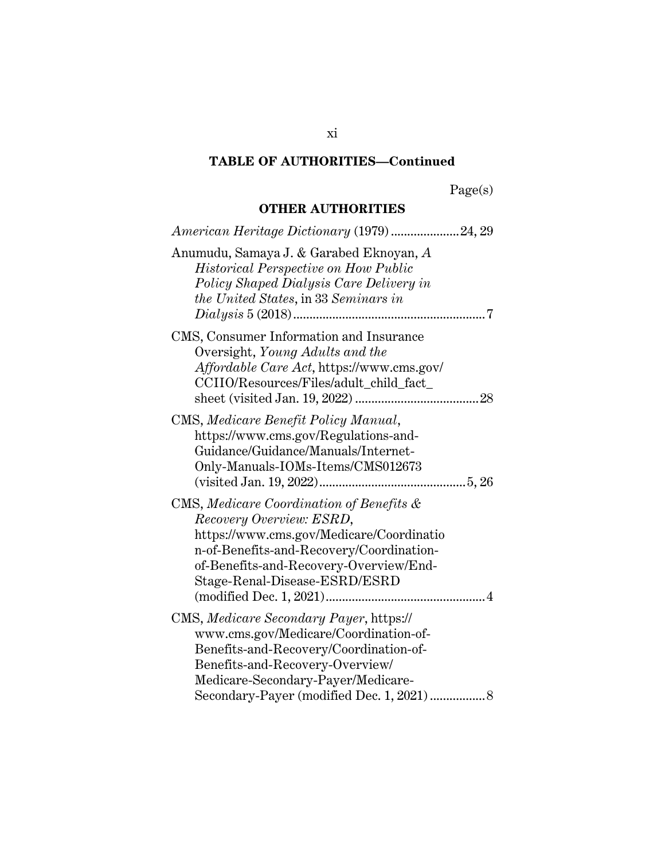Page(s)

# **OTHER AUTHORITIES**

| American Heritage Dictionary (1979)24, 29                                                                                                                                                                                                         |
|---------------------------------------------------------------------------------------------------------------------------------------------------------------------------------------------------------------------------------------------------|
| Anumudu, Samaya J. & Garabed Eknoyan, A<br><b>Historical Perspective on How Public</b><br>Policy Shaped Dialysis Care Delivery in<br>the United States, in 33 Seminars in                                                                         |
| CMS, Consumer Information and Insurance<br>Oversight, Young Adults and the<br>Affordable Care Act, https://www.cms.gov/<br>CCIIO/Resources/Files/adult_child_fact_                                                                                |
| CMS, Medicare Benefit Policy Manual,<br>https://www.cms.gov/Regulations-and-<br>Guidance/Guidance/Manuals/Internet-<br>Only-Manuals-IOMs-Items/CMS012673                                                                                          |
| CMS, Medicare Coordination of Benefits &<br>Recovery Overview: ESRD,<br>https://www.cms.gov/Medicare/Coordinatio<br>n-of-Benefits-and-Recovery/Coordination-<br>of-Benefits-and-Recovery-Overview/End-<br>Stage-Renal-Disease-ESRD/ESRD           |
| CMS, Medicare Secondary Payer, https://<br>www.cms.gov/Medicare/Coordination-of-<br>Benefits-and-Recovery/Coordination-of-<br>Benefits-and-Recovery-Overview/<br>Medicare-Secondary-Payer/Medicare-<br>Secondary-Payer (modified Dec. 1, 2021)  8 |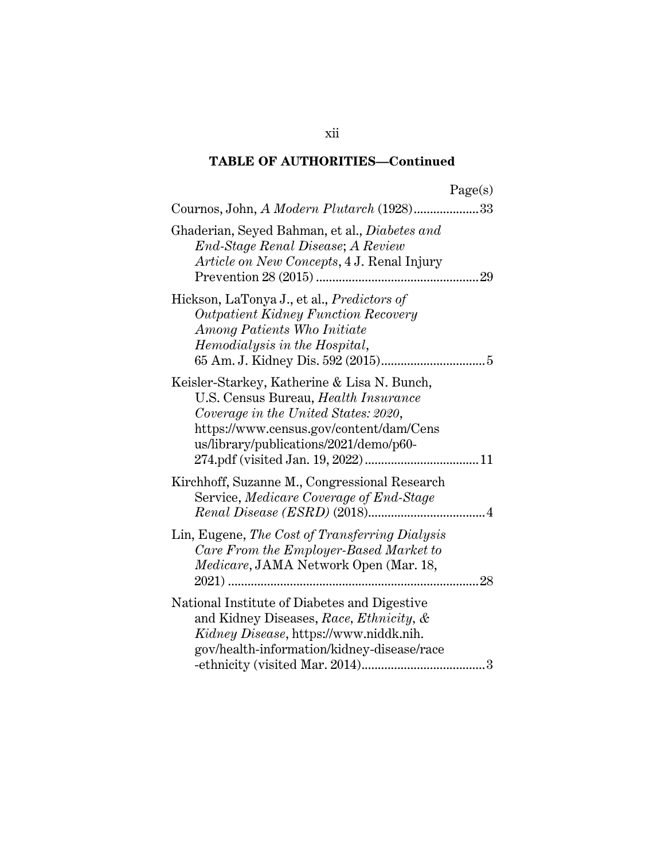|                                                                                                                                                                                                                  | Page(s) |
|------------------------------------------------------------------------------------------------------------------------------------------------------------------------------------------------------------------|---------|
| Cournos, John, A Modern Plutarch (1928)33                                                                                                                                                                        |         |
| Ghaderian, Seyed Bahman, et al., <i>Diabetes and</i><br>End-Stage Renal Disease; A Review<br>Article on New Concepts, 4 J. Renal Injury                                                                          |         |
| Hickson, LaTonya J., et al., Predictors of<br><b>Outpatient Kidney Function Recovery</b><br>Among Patients Who Initiate<br>Hemodialysis in the Hospital,                                                         |         |
| Keisler-Starkey, Katherine & Lisa N. Bunch,<br>U.S. Census Bureau, Health Insurance<br>Coverage in the United States: 2020,<br>https://www.census.gov/content/dam/Cens<br>us/library/publications/2021/demo/p60- |         |
| Kirchhoff, Suzanne M., Congressional Research<br>Service, Medicare Coverage of End-Stage                                                                                                                         |         |
| Lin, Eugene, The Cost of Transferring Dialysis<br>Care From the Employer-Based Market to<br><i>Medicare</i> , JAMA Network Open (Mar. 18,                                                                        | 28      |
| National Institute of Diabetes and Digestive<br>and Kidney Diseases, Race, Ethnicity, &<br>Kidney Disease, https://www.niddk.nih.<br>gov/health-information/kidney-disease/race                                  |         |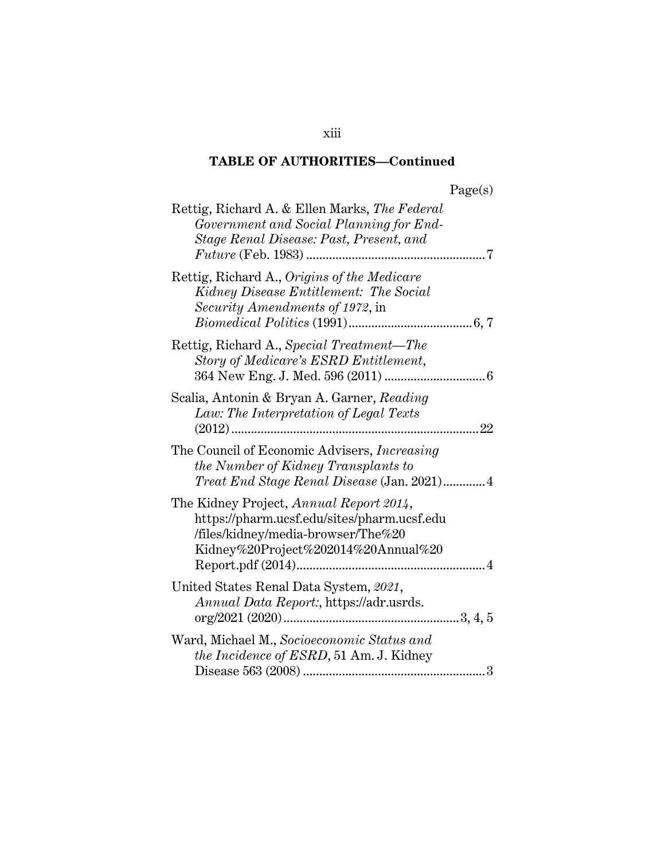| Rettig, Richard A. & Ellen Marks, The Federal<br>Government and Social Planning for End-<br>Stage Renal Disease: Past, Present, and<br>7                            |
|---------------------------------------------------------------------------------------------------------------------------------------------------------------------|
| Rettig, Richard A., Origins of the Medicare<br>Kidney Disease Entitlement: The Social<br>Security Amendments of 1972, in                                            |
| Rettig, Richard A., Special Treatment—The<br>Story of Medicare's ESRD Entitlement,                                                                                  |
| Scalia, Antonin & Bryan A. Garner, Reading<br>Law: The Interpretation of Legal Texts<br>22                                                                          |
| The Council of Economic Advisers, <i>Increasing</i><br>the Number of Kidney Transplants to<br><i>Treat End Stage Renal Disease</i> (Jan. 2021)4                     |
| The Kidney Project, Annual Report 2014,<br>https://pharm.ucsf.edu/sites/pharm.ucsf.edu<br>/files/kidney/media-browser/The%20<br>Kidney%20Project%202014%20Annual%20 |
| United States Renal Data System, 2021,<br>Annual Data Report:, https://adr.usrds.                                                                                   |
| Ward, Michael M., Socioeconomic Status and<br>the Incidence of ESRD, 51 Am. J. Kidney<br>3                                                                          |

xiii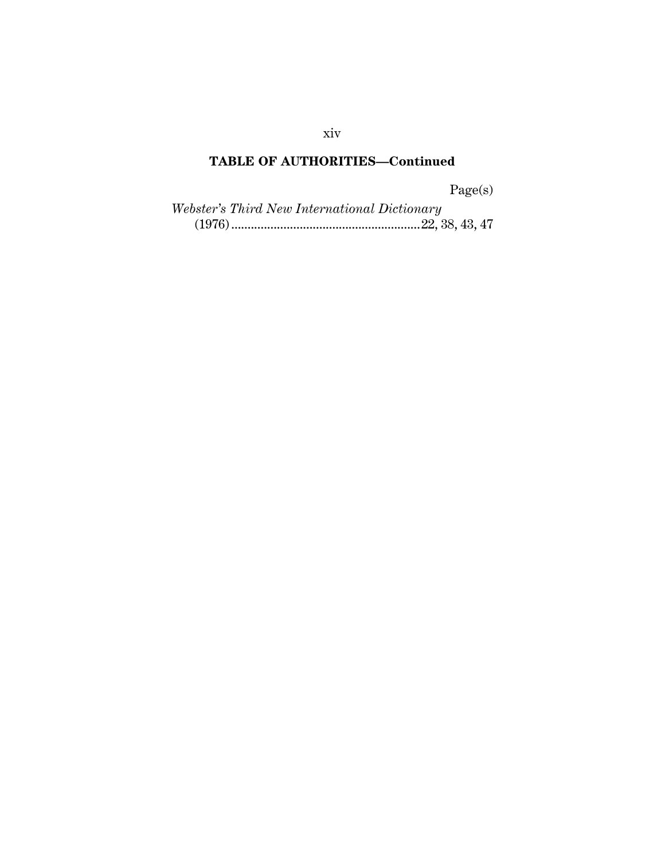Page(s)

| <i>Webster's Third New International Dictionary</i> |  |
|-----------------------------------------------------|--|
|                                                     |  |

xiv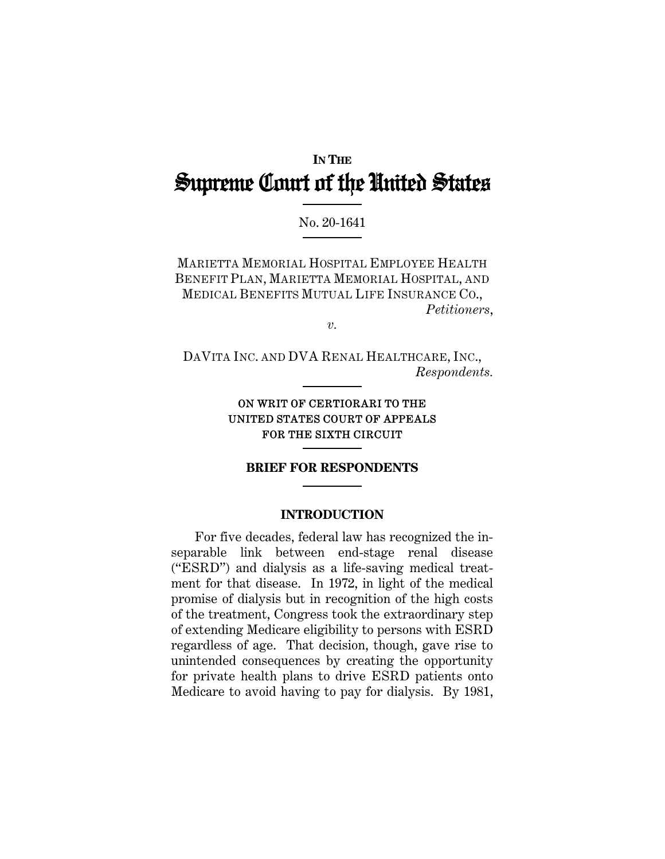# **IN THE** Supreme Court of the United States

## No. 20-1641

MARIETTA MEMORIAL HOSPITAL EMPLOYEE HEALTH BENEFIT PLAN, MARIETTA MEMORIAL HOSPITAL, AND MEDICAL BENEFITS MUTUAL LIFE INSURANCE CO., *Petitioners*,

*v.* 

DAVITA INC. AND DVA RENAL HEALTHCARE, INC., *Respondents.* 

## ON WRIT OF CERTIORARI TO THE UNITED STATES COURT OF APPEALS FOR THE SIXTH CIRCUIT

#### **BRIEF FOR RESPONDENTS**

#### **INTRODUCTION**

For five decades, federal law has recognized the inseparable link between end-stage renal disease ("ESRD") and dialysis as a life-saving medical treatment for that disease. In 1972, in light of the medical promise of dialysis but in recognition of the high costs of the treatment, Congress took the extraordinary step of extending Medicare eligibility to persons with ESRD regardless of age. That decision, though, gave rise to unintended consequences by creating the opportunity for private health plans to drive ESRD patients onto Medicare to avoid having to pay for dialysis. By 1981,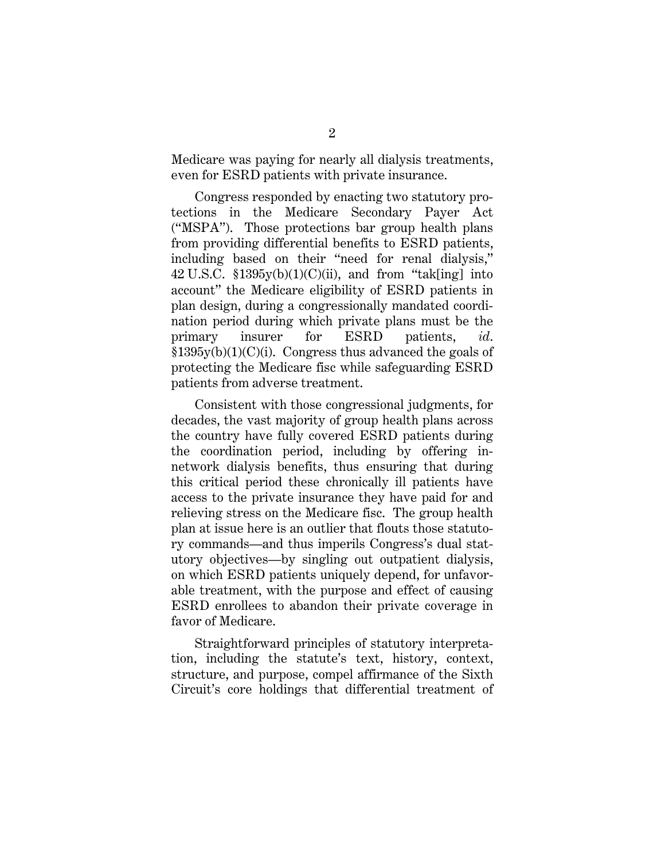Medicare was paying for nearly all dialysis treatments, even for ESRD patients with private insurance.

Congress responded by enacting two statutory protections in the Medicare Secondary Payer Act ("MSPA"). Those protections bar group health plans from providing differential benefits to ESRD patients, including based on their "need for renal dialysis," 42 U.S.C.  $$1395y(b)(1)(C)(ii)$ , and from "tak[ing] into account" the Medicare eligibility of ESRD patients in plan design, during a congressionally mandated coordination period during which private plans must be the primary insurer for ESRD patients, *id*.  $$1395y(b)(1)(C)(i)$ . Congress thus advanced the goals of protecting the Medicare fisc while safeguarding ESRD patients from adverse treatment.

Consistent with those congressional judgments, for decades, the vast majority of group health plans across the country have fully covered ESRD patients during the coordination period, including by offering innetwork dialysis benefits, thus ensuring that during this critical period these chronically ill patients have access to the private insurance they have paid for and relieving stress on the Medicare fisc. The group health plan at issue here is an outlier that flouts those statutory commands—and thus imperils Congress's dual statutory objectives—by singling out outpatient dialysis, on which ESRD patients uniquely depend, for unfavorable treatment, with the purpose and effect of causing ESRD enrollees to abandon their private coverage in favor of Medicare.

Straightforward principles of statutory interpretation, including the statute's text, history, context, structure, and purpose, compel affirmance of the Sixth Circuit's core holdings that differential treatment of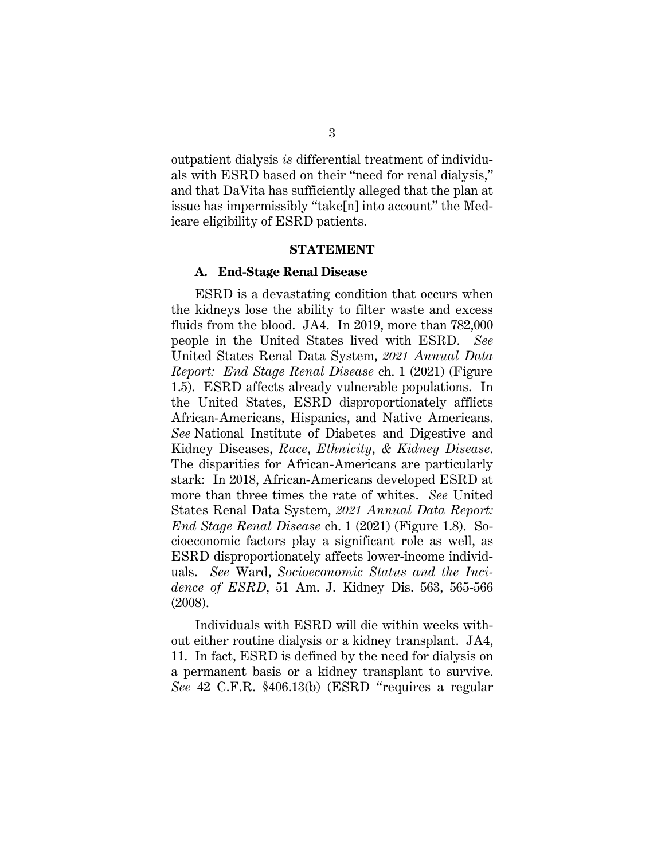outpatient dialysis *is* differential treatment of individuals with ESRD based on their "need for renal dialysis," and that DaVita has sufficiently alleged that the plan at issue has impermissibly "take[n] into account" the Medicare eligibility of ESRD patients.

#### **STATEMENT**

#### **A. End-Stage Renal Disease**

ESRD is a devastating condition that occurs when the kidneys lose the ability to filter waste and excess fluids from the blood. JA4. In 2019, more than 782,000 people in the United States lived with ESRD. *See* United States Renal Data System, *2021 Annual Data Report: End Stage Renal Disease* ch. 1 (2021) (Figure 1.5). ESRD affects already vulnerable populations. In the United States, ESRD disproportionately afflicts African-Americans, Hispanics, and Native Americans. *See* National Institute of Diabetes and Digestive and Kidney Diseases, *Race*, *Ethnicity*, *& Kidney Disease*. The disparities for African-Americans are particularly stark: In 2018, African-Americans developed ESRD at more than three times the rate of whites. *See* United States Renal Data System, *2021 Annual Data Report: End Stage Renal Disease* ch. 1 (2021) (Figure 1.8). Socioeconomic factors play a significant role as well, as ESRD disproportionately affects lower-income individuals. *See* Ward, *Socioeconomic Status and the Incidence of ESRD*, 51 Am. J. Kidney Dis. 563, 565-566 (2008).

Individuals with ESRD will die within weeks without either routine dialysis or a kidney transplant. JA4, 11. In fact, ESRD is defined by the need for dialysis on a permanent basis or a kidney transplant to survive. *See* 42 C.F.R. §406.13(b) (ESRD "requires a regular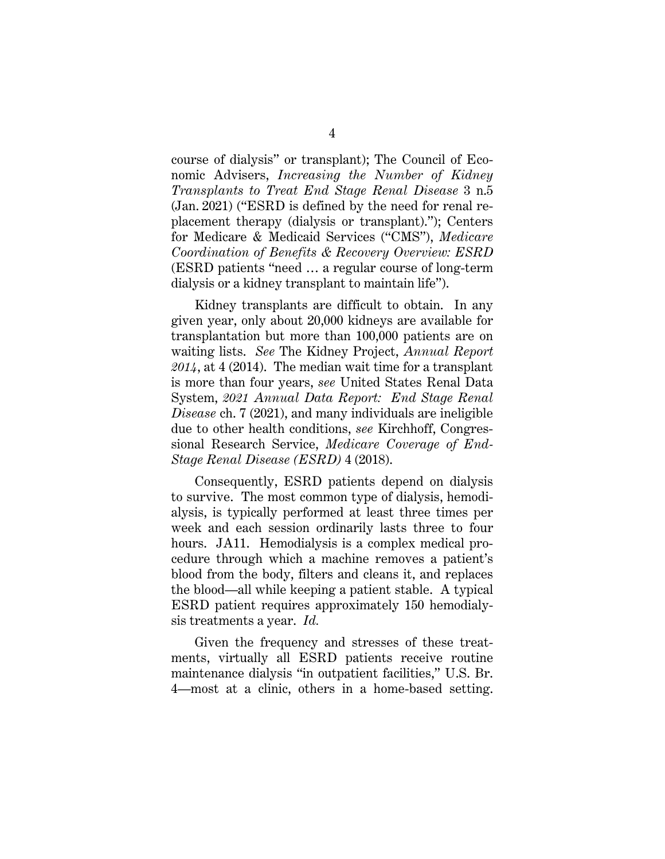course of dialysis" or transplant); The Council of Economic Advisers, *Increasing the Number of Kidney Transplants to Treat End Stage Renal Disease* 3 n.5 (Jan. 2021) ("ESRD is defined by the need for renal replacement therapy (dialysis or transplant)."); Centers for Medicare & Medicaid Services ("CMS"), *Medicare Coordination of Benefits & Recovery Overview: ESRD* (ESRD patients "need … a regular course of long-term dialysis or a kidney transplant to maintain life").

Kidney transplants are difficult to obtain. In any given year, only about 20,000 kidneys are available for transplantation but more than 100,000 patients are on waiting lists. *See* The Kidney Project, *Annual Report 2014*, at 4 (2014). The median wait time for a transplant is more than four years, *see* United States Renal Data System, *2021 Annual Data Report: End Stage Renal Disease* ch. 7 (2021), and many individuals are ineligible due to other health conditions, *see* Kirchhoff, Congressional Research Service, *Medicare Coverage of End-Stage Renal Disease (ESRD)* 4 (2018).

Consequently, ESRD patients depend on dialysis to survive. The most common type of dialysis, hemodialysis, is typically performed at least three times per week and each session ordinarily lasts three to four hours. JA11. Hemodialysis is a complex medical procedure through which a machine removes a patient's blood from the body, filters and cleans it, and replaces the blood—all while keeping a patient stable. A typical ESRD patient requires approximately 150 hemodialysis treatments a year. *Id.*

Given the frequency and stresses of these treatments, virtually all ESRD patients receive routine maintenance dialysis "in outpatient facilities," U.S. Br. 4—most at a clinic, others in a home-based setting.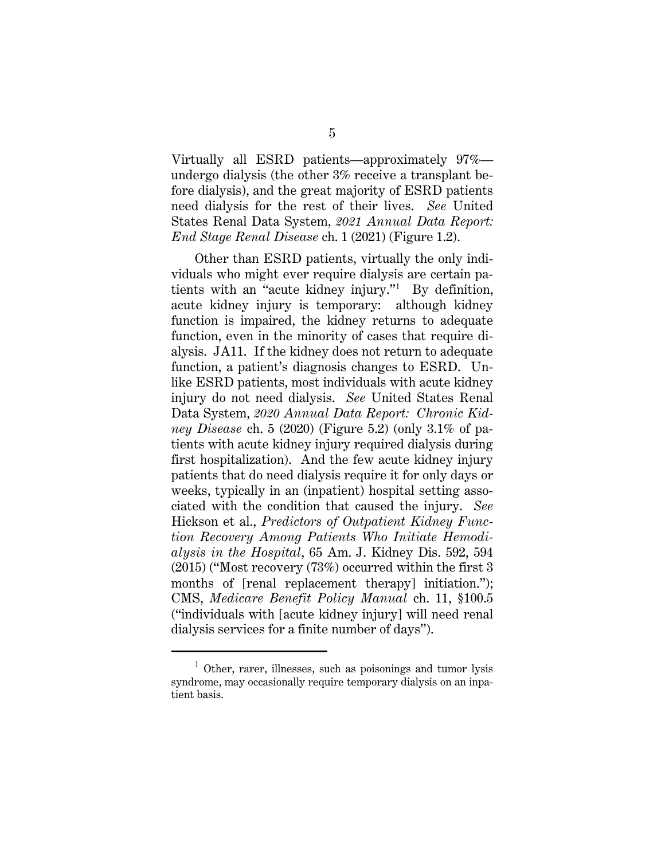Virtually all ESRD patients—approximately 97% undergo dialysis (the other 3% receive a transplant before dialysis), and the great majority of ESRD patients need dialysis for the rest of their lives. *See* United States Renal Data System, *2021 Annual Data Report: End Stage Renal Disease* ch. 1 (2021) (Figure 1.2).

Other than ESRD patients, virtually the only individuals who might ever require dialysis are certain patients with an "acute kidney injury."<sup>1</sup> By definition, acute kidney injury is temporary: although kidney function is impaired, the kidney returns to adequate function, even in the minority of cases that require dialysis. JA11. If the kidney does not return to adequate function, a patient's diagnosis changes to ESRD. Unlike ESRD patients, most individuals with acute kidney injury do not need dialysis. *See* United States Renal Data System, *2020 Annual Data Report: Chronic Kidney Disease* ch. 5 (2020) (Figure 5.2) (only 3.1% of patients with acute kidney injury required dialysis during first hospitalization). And the few acute kidney injury patients that do need dialysis require it for only days or weeks, typically in an (inpatient) hospital setting associated with the condition that caused the injury. *See*  Hickson et al., *Predictors of Outpatient Kidney Function Recovery Among Patients Who Initiate Hemodialysis in the Hospital*, 65 Am. J. Kidney Dis. 592, 594 (2015) ("Most recovery (73%) occurred within the first 3 months of [renal replacement therapy] initiation."); CMS, *Medicare Benefit Policy Manual* ch. 11, §100.5 ("individuals with [acute kidney injury] will need renal dialysis services for a finite number of days").

<sup>&</sup>lt;sup>1</sup> Other, rarer, illnesses, such as poisonings and tumor lysis syndrome, may occasionally require temporary dialysis on an inpatient basis.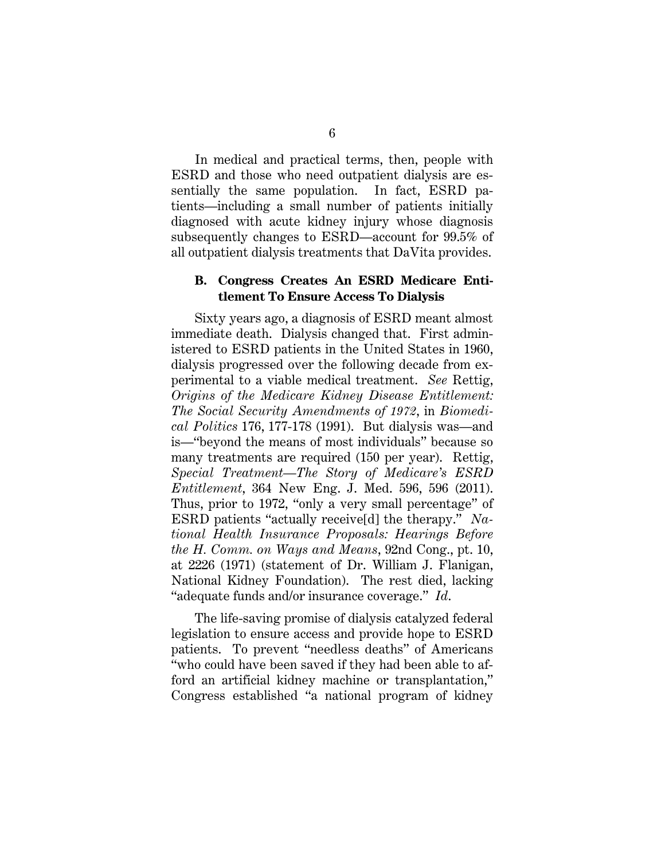In medical and practical terms, then, people with ESRD and those who need outpatient dialysis are essentially the same population. In fact, ESRD patients—including a small number of patients initially diagnosed with acute kidney injury whose diagnosis subsequently changes to ESRD—account for 99.5% of all outpatient dialysis treatments that DaVita provides.

#### **B. Congress Creates An ESRD Medicare Entitlement To Ensure Access To Dialysis**

Sixty years ago, a diagnosis of ESRD meant almost immediate death. Dialysis changed that. First administered to ESRD patients in the United States in 1960, dialysis progressed over the following decade from experimental to a viable medical treatment. *See* Rettig, *Origins of the Medicare Kidney Disease Entitlement: The Social Security Amendments of 1972*, in *Biomedical Politics* 176, 177-178 (1991). But dialysis was—and is—"beyond the means of most individuals" because so many treatments are required (150 per year). Rettig, *Special Treatment—The Story of Medicare's ESRD Entitlement*, 364 New Eng. J. Med. 596, 596 (2011). Thus, prior to 1972, "only a very small percentage" of ESRD patients "actually receive[d] the therapy." *National Health Insurance Proposals: Hearings Before the H. Comm. on Ways and Means*, 92nd Cong., pt. 10, at 2226 (1971) (statement of Dr. William J. Flanigan, National Kidney Foundation). The rest died, lacking "adequate funds and/or insurance coverage." *Id*.

The life-saving promise of dialysis catalyzed federal legislation to ensure access and provide hope to ESRD patients. To prevent "needless deaths" of Americans "who could have been saved if they had been able to afford an artificial kidney machine or transplantation," Congress established "a national program of kidney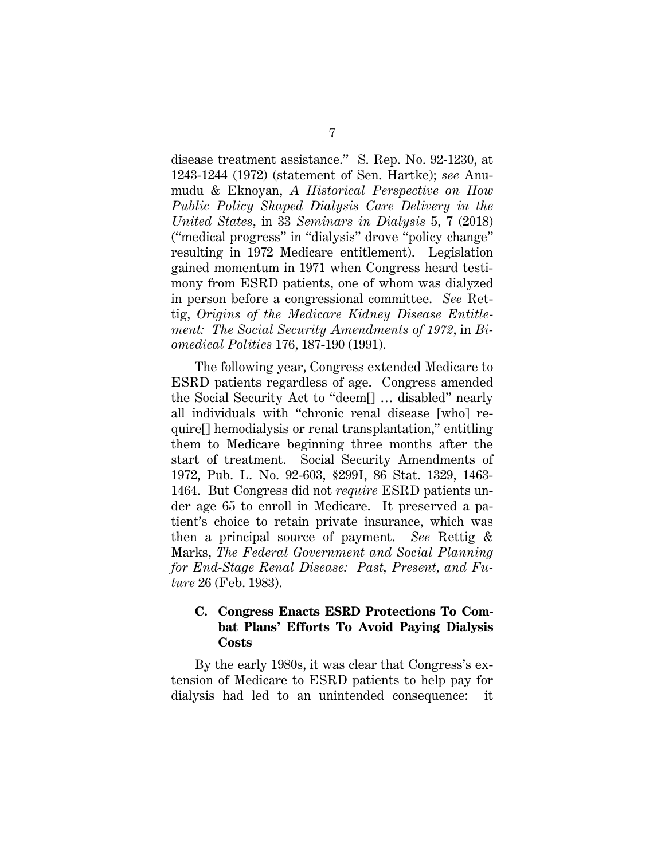disease treatment assistance." S. Rep. No. 92-1230, at 1243-1244 (1972) (statement of Sen. Hartke); *see* Anumudu & Eknoyan, *A Historical Perspective on How Public Policy Shaped Dialysis Care Delivery in the United States*, in 33 *Seminars in Dialysis* 5, 7 (2018) ("medical progress" in "dialysis" drove "policy change" resulting in 1972 Medicare entitlement). Legislation gained momentum in 1971 when Congress heard testimony from ESRD patients, one of whom was dialyzed in person before a congressional committee. *See* Rettig, *Origins of the Medicare Kidney Disease Entitlement: The Social Security Amendments of 1972*, in *Biomedical Politics* 176, 187-190 (1991).

The following year, Congress extended Medicare to ESRD patients regardless of age. Congress amended the Social Security Act to "deem[] … disabled" nearly all individuals with "chronic renal disease [who] require[] hemodialysis or renal transplantation," entitling them to Medicare beginning three months after the start of treatment. Social Security Amendments of 1972, Pub. L. No. 92-603, §299I, 86 Stat. 1329, 1463- 1464. But Congress did not *require* ESRD patients under age 65 to enroll in Medicare. It preserved a patient's choice to retain private insurance, which was then a principal source of payment. *See* Rettig & Marks, *The Federal Government and Social Planning for End-Stage Renal Disease: Past, Present, and Future* 26 (Feb. 1983).

## **C. Congress Enacts ESRD Protections To Combat Plans' Efforts To Avoid Paying Dialysis Costs**

By the early 1980s, it was clear that Congress's extension of Medicare to ESRD patients to help pay for dialysis had led to an unintended consequence: it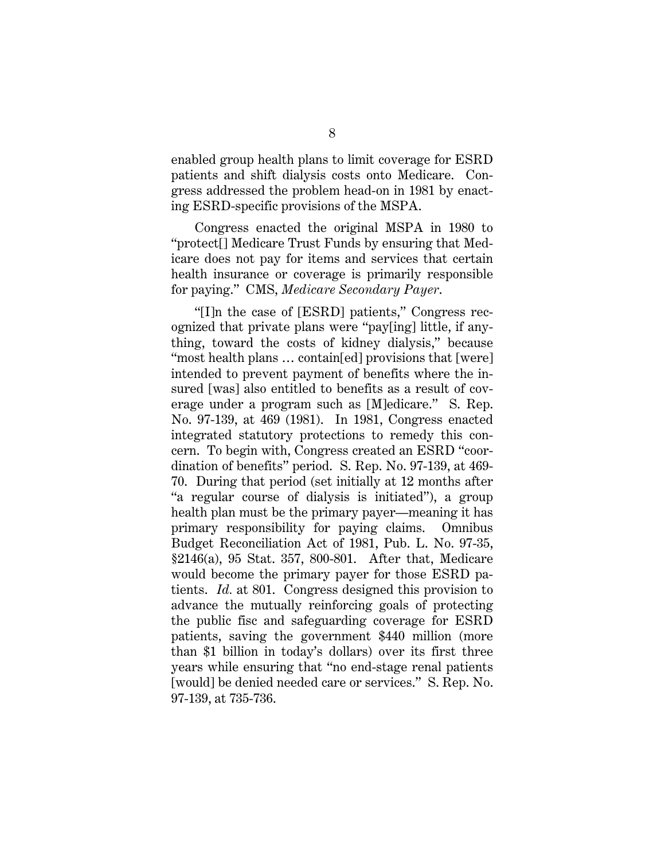enabled group health plans to limit coverage for ESRD patients and shift dialysis costs onto Medicare. Congress addressed the problem head-on in 1981 by enacting ESRD-specific provisions of the MSPA.

Congress enacted the original MSPA in 1980 to "protect[] Medicare Trust Funds by ensuring that Medicare does not pay for items and services that certain health insurance or coverage is primarily responsible for paying." CMS, *Medicare Secondary Payer*.

"[I]n the case of [ESRD] patients," Congress recognized that private plans were "pay[ing] little, if anything, toward the costs of kidney dialysis," because "most health plans … contain[ed] provisions that [were] intended to prevent payment of benefits where the insured [was] also entitled to benefits as a result of coverage under a program such as [M]edicare." S. Rep. No. 97-139, at 469 (1981). In 1981, Congress enacted integrated statutory protections to remedy this concern. To begin with, Congress created an ESRD "coordination of benefits" period. S. Rep. No. 97-139, at 469- 70. During that period (set initially at 12 months after "a regular course of dialysis is initiated"), a group health plan must be the primary payer—meaning it has primary responsibility for paying claims. Omnibus Budget Reconciliation Act of 1981, Pub. L. No. 97-35, §2146(a), 95 Stat. 357, 800-801. After that, Medicare would become the primary payer for those ESRD patients. *Id.* at 801.Congress designed this provision to advance the mutually reinforcing goals of protecting the public fisc and safeguarding coverage for ESRD patients, saving the government \$440 million (more than \$1 billion in today's dollars) over its first three years while ensuring that "no end-stage renal patients [would] be denied needed care or services." S. Rep. No. 97-139, at 735-736.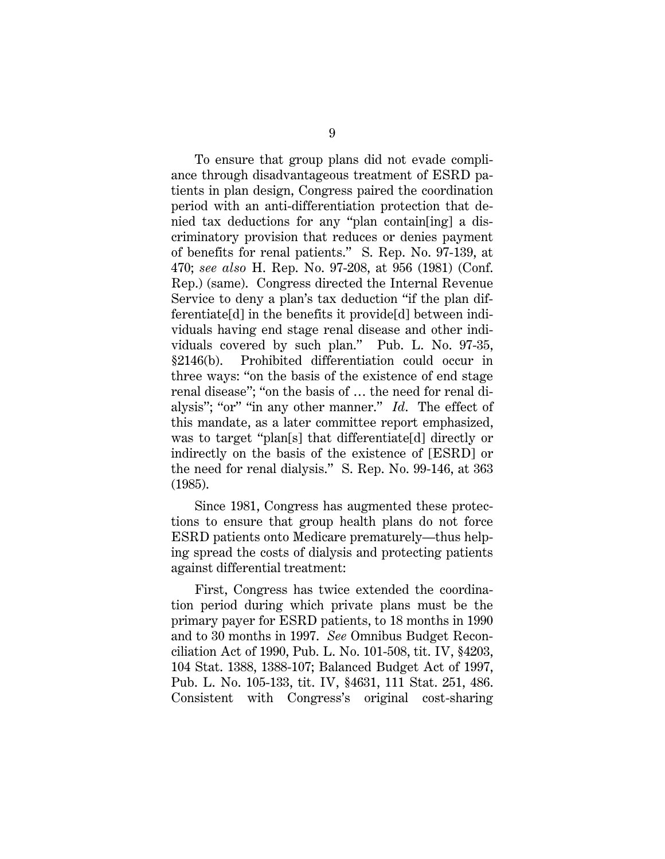To ensure that group plans did not evade compliance through disadvantageous treatment of ESRD patients in plan design, Congress paired the coordination period with an anti-differentiation protection that denied tax deductions for any "plan contain[ing] a discriminatory provision that reduces or denies payment of benefits for renal patients." S. Rep. No. 97-139, at 470; *see also* H. Rep. No. 97-208, at 956 (1981) (Conf. Rep.) (same). Congress directed the Internal Revenue Service to deny a plan's tax deduction "if the plan differentiate[d] in the benefits it provide[d] between individuals having end stage renal disease and other individuals covered by such plan." Pub. L. No. 97-35, §2146(b). Prohibited differentiation could occur in three ways: "on the basis of the existence of end stage renal disease"; "on the basis of … the need for renal dialysis"; "or" "in any other manner." *Id*. The effect of this mandate, as a later committee report emphasized, was to target "plan[s] that differentiate[d] directly or indirectly on the basis of the existence of [ESRD] or the need for renal dialysis." S. Rep. No. 99-146, at 363 (1985).

Since 1981, Congress has augmented these protections to ensure that group health plans do not force ESRD patients onto Medicare prematurely—thus helping spread the costs of dialysis and protecting patients against differential treatment:

First, Congress has twice extended the coordination period during which private plans must be the primary payer for ESRD patients, to 18 months in 1990 and to 30 months in 1997. *See* Omnibus Budget Reconciliation Act of 1990, Pub. L. No. 101-508, tit. IV, §4203, 104 Stat. 1388, 1388-107; Balanced Budget Act of 1997, Pub. L. No. 105-133, tit. IV, §4631, 111 Stat. 251, 486. Consistent with Congress's original cost-sharing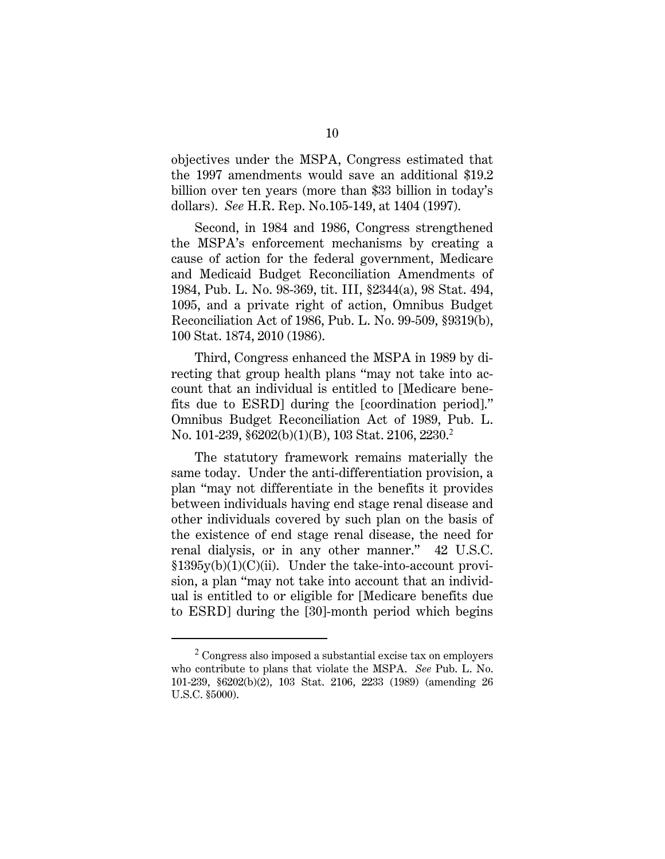objectives under the MSPA, Congress estimated that the 1997 amendments would save an additional \$19.2 billion over ten years (more than \$33 billion in today's dollars). *See* H.R. Rep. No.105-149, at 1404 (1997).

Second, in 1984 and 1986, Congress strengthened the MSPA's enforcement mechanisms by creating a cause of action for the federal government, Medicare and Medicaid Budget Reconciliation Amendments of 1984, Pub. L. No. 98-369, tit. III, §2344(a), 98 Stat. 494, 1095, and a private right of action, Omnibus Budget Reconciliation Act of 1986, Pub. L. No. 99-509, §9319(b), 100 Stat. 1874, 2010 (1986).

Third, Congress enhanced the MSPA in 1989 by directing that group health plans "may not take into account that an individual is entitled to [Medicare benefits due to ESRD] during the [coordination period]." Omnibus Budget Reconciliation Act of 1989, Pub. L. No. 101-239, §6202(b)(1)(B), 103 Stat. 2106, 2230.<sup>2</sup>

The statutory framework remains materially the same today. Under the anti-differentiation provision, a plan "may not differentiate in the benefits it provides between individuals having end stage renal disease and other individuals covered by such plan on the basis of the existence of end stage renal disease, the need for renal dialysis, or in any other manner." 42 U.S.C. §1395y(b)(1)(C)(ii). Under the take-into-account provision, a plan "may not take into account that an individual is entitled to or eligible for [Medicare benefits due to ESRD] during the [30]-month period which begins

 $2^2$  Congress also imposed a substantial excise tax on employers who contribute to plans that violate the MSPA. *See* Pub. L. No. 101-239, §6202(b)(2), 103 Stat. 2106, 2233 (1989) (amending 26 U.S.C. §5000).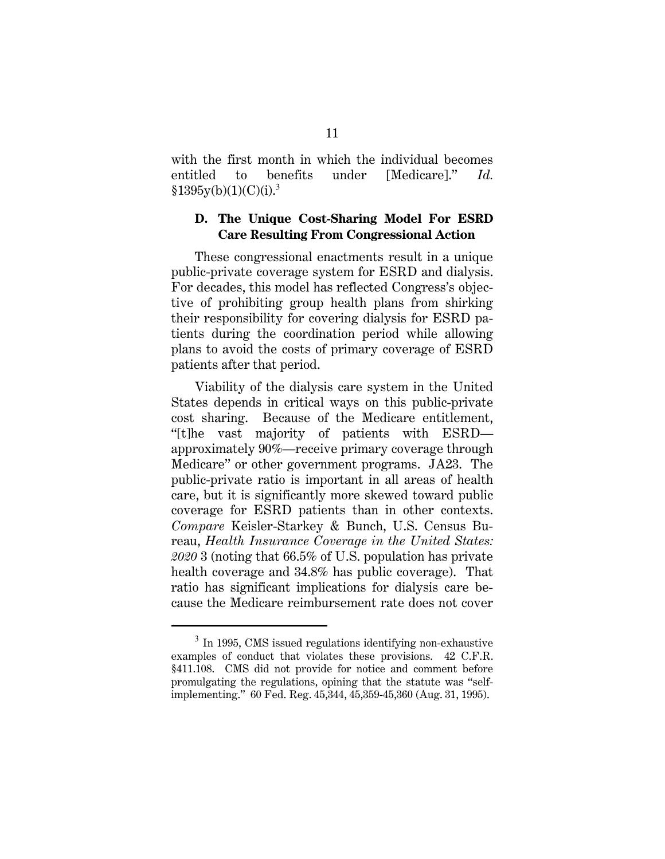with the first month in which the individual becomes entitled to benefits under [Medicare]." *Id.*  $$1395y(b)(1)(C)(i).<sup>3</sup>$ 

## **D. The Unique Cost-Sharing Model For ESRD Care Resulting From Congressional Action**

These congressional enactments result in a unique public-private coverage system for ESRD and dialysis. For decades, this model has reflected Congress's objective of prohibiting group health plans from shirking their responsibility for covering dialysis for ESRD patients during the coordination period while allowing plans to avoid the costs of primary coverage of ESRD patients after that period.

Viability of the dialysis care system in the United States depends in critical ways on this public-private cost sharing. Because of the Medicare entitlement, "[t]he vast majority of patients with ESRD approximately 90%—receive primary coverage through Medicare" or other government programs. JA23. The public-private ratio is important in all areas of health care, but it is significantly more skewed toward public coverage for ESRD patients than in other contexts. *Compare* Keisler-Starkey & Bunch, U.S. Census Bureau, *Health Insurance Coverage in the United States: 2020* 3 (noting that 66.5% of U.S. population has private health coverage and 34.8% has public coverage). That ratio has significant implications for dialysis care because the Medicare reimbursement rate does not cover

<sup>&</sup>lt;sup>3</sup> In 1995, CMS issued regulations identifying non-exhaustive examples of conduct that violates these provisions. 42 C.F.R. §411.108. CMS did not provide for notice and comment before promulgating the regulations, opining that the statute was "selfimplementing." 60 Fed. Reg. 45,344, 45,359-45,360 (Aug. 31, 1995).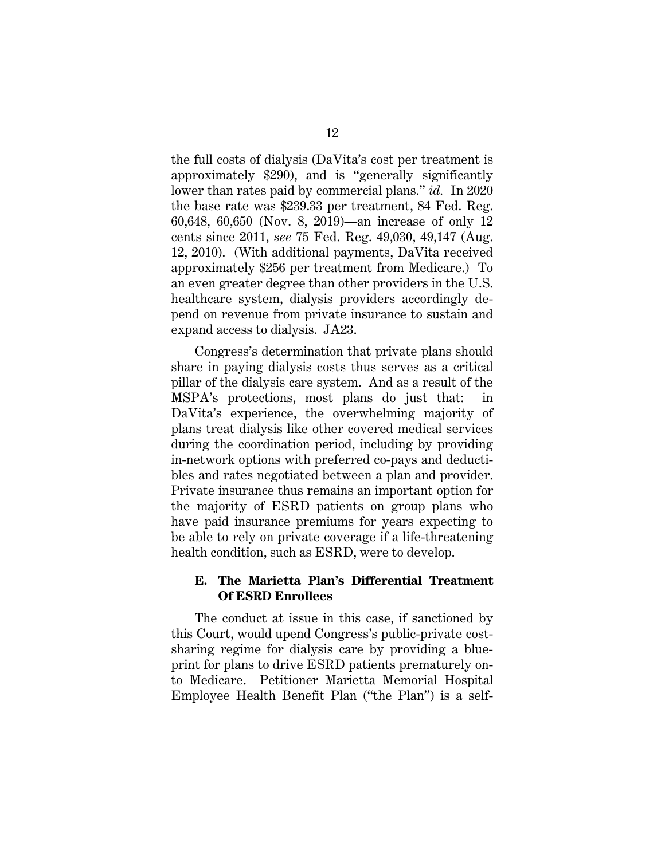the full costs of dialysis (DaVita's cost per treatment is approximately \$290), and is "generally significantly lower than rates paid by commercial plans." *id.* In 2020 the base rate was \$239.33 per treatment, 84 Fed. Reg. 60,648, 60,650 (Nov. 8, 2019)—an increase of only 12 cents since 2011, *see* 75 Fed. Reg. 49,030, 49,147 (Aug. 12, 2010). (With additional payments, DaVita received approximately \$256 per treatment from Medicare.) To an even greater degree than other providers in the U.S. healthcare system, dialysis providers accordingly depend on revenue from private insurance to sustain and expand access to dialysis. JA23.

Congress's determination that private plans should share in paying dialysis costs thus serves as a critical pillar of the dialysis care system. And as a result of the MSPA's protections, most plans do just that: in DaVita's experience, the overwhelming majority of plans treat dialysis like other covered medical services during the coordination period, including by providing in-network options with preferred co-pays and deductibles and rates negotiated between a plan and provider. Private insurance thus remains an important option for the majority of ESRD patients on group plans who have paid insurance premiums for years expecting to be able to rely on private coverage if a life-threatening health condition, such as ESRD, were to develop.

### **E. The Marietta Plan's Differential Treatment Of ESRD Enrollees**

The conduct at issue in this case, if sanctioned by this Court, would upend Congress's public-private costsharing regime for dialysis care by providing a blueprint for plans to drive ESRD patients prematurely onto Medicare. Petitioner Marietta Memorial Hospital Employee Health Benefit Plan ("the Plan") is a self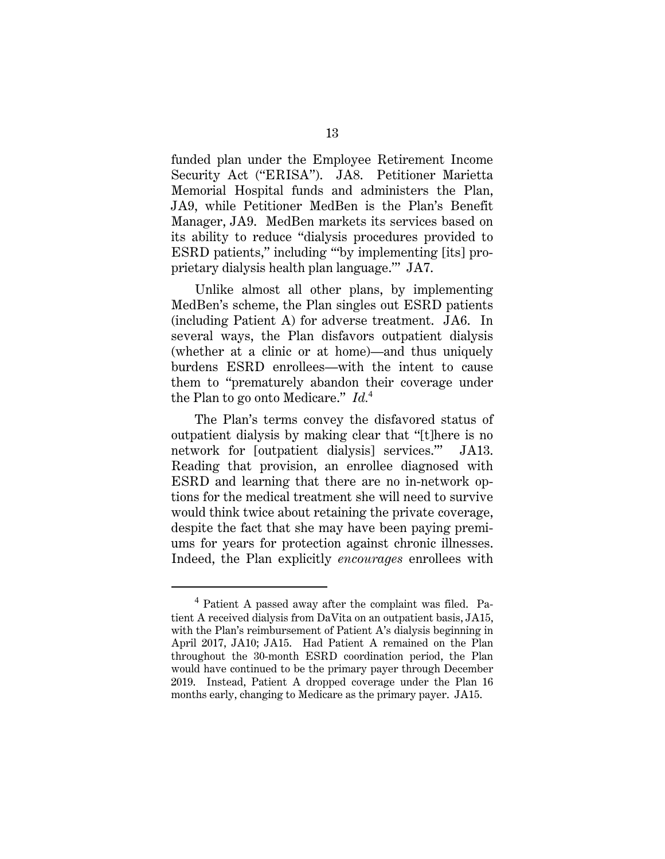funded plan under the Employee Retirement Income Security Act ("ERISA"). JA8. Petitioner Marietta Memorial Hospital funds and administers the Plan, JA9, while Petitioner MedBen is the Plan's Benefit Manager, JA9. MedBen markets its services based on its ability to reduce "dialysis procedures provided to ESRD patients," including '"by implementing [its] proprietary dialysis health plan language.'" JA7.

Unlike almost all other plans, by implementing MedBen's scheme, the Plan singles out ESRD patients (including Patient A) for adverse treatment. JA6. In several ways, the Plan disfavors outpatient dialysis (whether at a clinic or at home)—and thus uniquely burdens ESRD enrollees—with the intent to cause them to "prematurely abandon their coverage under the Plan to go onto Medicare." *Id.*<sup>4</sup>

The Plan's terms convey the disfavored status of outpatient dialysis by making clear that "[t]here is no network for [outpatient dialysis] services.'" JA13. Reading that provision, an enrollee diagnosed with ESRD and learning that there are no in-network options for the medical treatment she will need to survive would think twice about retaining the private coverage, despite the fact that she may have been paying premiums for years for protection against chronic illnesses. Indeed, the Plan explicitly *encourages* enrollees with

<sup>4</sup> Patient A passed away after the complaint was filed. Patient A received dialysis from DaVita on an outpatient basis, JA15, with the Plan's reimbursement of Patient A's dialysis beginning in April 2017, JA10; JA15. Had Patient A remained on the Plan throughout the 30-month ESRD coordination period, the Plan would have continued to be the primary payer through December 2019. Instead, Patient A dropped coverage under the Plan 16 months early, changing to Medicare as the primary payer. JA15.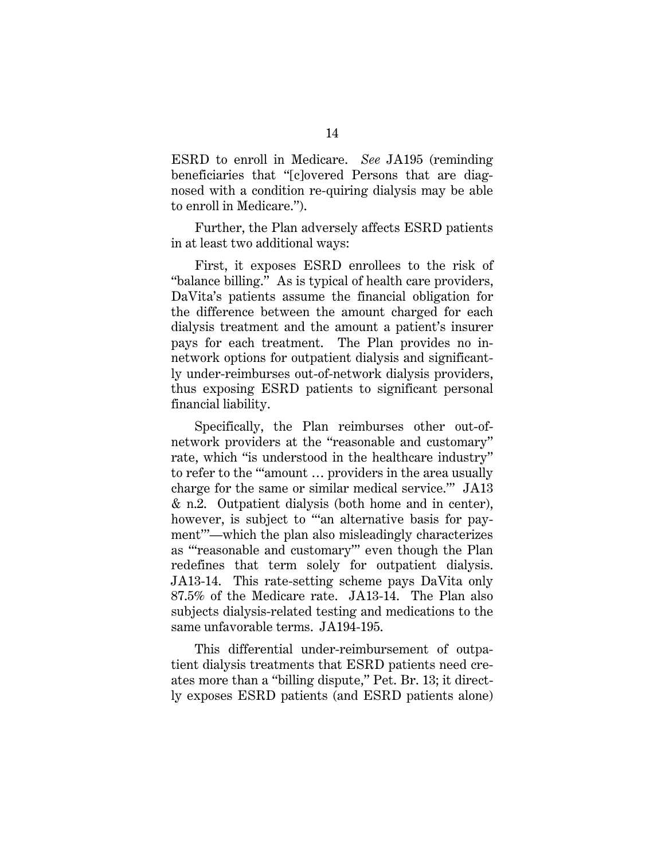ESRD to enroll in Medicare. *See* JA195 (reminding beneficiaries that "[c]overed Persons that are diagnosed with a condition re-quiring dialysis may be able to enroll in Medicare.").

Further, the Plan adversely affects ESRD patients in at least two additional ways:

First, it exposes ESRD enrollees to the risk of "balance billing." As is typical of health care providers, DaVita's patients assume the financial obligation for the difference between the amount charged for each dialysis treatment and the amount a patient's insurer pays for each treatment. The Plan provides no innetwork options for outpatient dialysis and significantly under-reimburses out-of-network dialysis providers, thus exposing ESRD patients to significant personal financial liability.

Specifically, the Plan reimburses other out-ofnetwork providers at the "reasonable and customary" rate, which "is understood in the healthcare industry" to refer to the "'amount … providers in the area usually charge for the same or similar medical service.'" JA13 & n.2. Outpatient dialysis (both home and in center), however, is subject to "an alternative basis for payment'"—which the plan also misleadingly characterizes as "'reasonable and customary'" even though the Plan redefines that term solely for outpatient dialysis. JA13-14. This rate-setting scheme pays DaVita only 87.5% of the Medicare rate. JA13-14. The Plan also subjects dialysis-related testing and medications to the same unfavorable terms. JA194-195.

This differential under-reimbursement of outpatient dialysis treatments that ESRD patients need creates more than a "billing dispute," Pet. Br. 13; it directly exposes ESRD patients (and ESRD patients alone)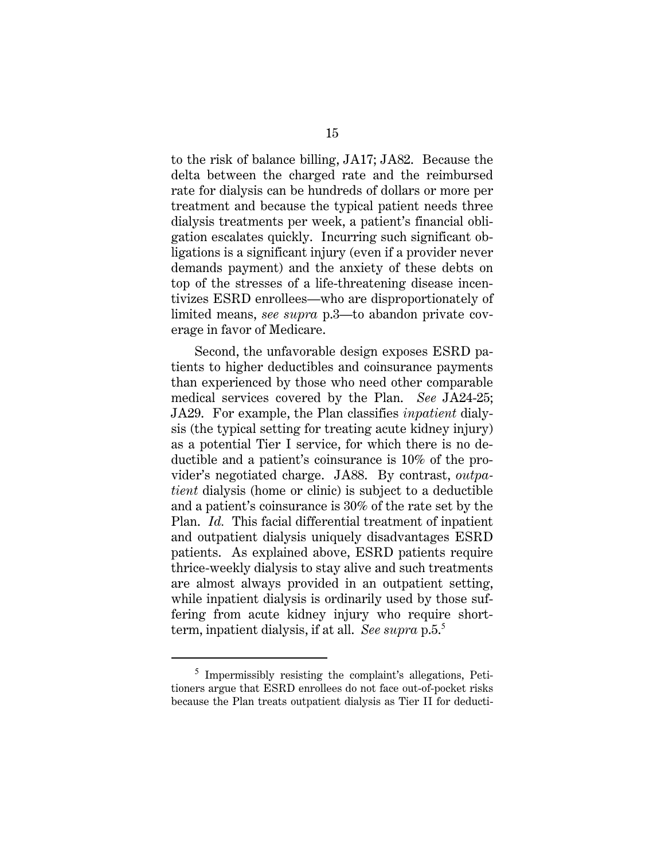to the risk of balance billing, JA17; JA82. Because the delta between the charged rate and the reimbursed rate for dialysis can be hundreds of dollars or more per treatment and because the typical patient needs three dialysis treatments per week, a patient's financial obligation escalates quickly. Incurring such significant obligations is a significant injury (even if a provider never demands payment) and the anxiety of these debts on top of the stresses of a life-threatening disease incentivizes ESRD enrollees—who are disproportionately of limited means, *see supra* p.3—to abandon private coverage in favor of Medicare.

Second, the unfavorable design exposes ESRD patients to higher deductibles and coinsurance payments than experienced by those who need other comparable medical services covered by the Plan. *See* JA24-25; JA29. For example, the Plan classifies *inpatient* dialysis (the typical setting for treating acute kidney injury) as a potential Tier I service, for which there is no deductible and a patient's coinsurance is 10% of the provider's negotiated charge. JA88. By contrast, *outpatient* dialysis (home or clinic) is subject to a deductible and a patient's coinsurance is 30% of the rate set by the Plan. *Id.* This facial differential treatment of inpatient and outpatient dialysis uniquely disadvantages ESRD patients. As explained above, ESRD patients require thrice-weekly dialysis to stay alive and such treatments are almost always provided in an outpatient setting, while inpatient dialysis is ordinarily used by those suffering from acute kidney injury who require shortterm, inpatient dialysis, if at all. *See supra* p.5.<sup>5</sup>

<sup>&</sup>lt;sup>5</sup> Impermissibly resisting the complaint's allegations, Petitioners argue that ESRD enrollees do not face out-of-pocket risks because the Plan treats outpatient dialysis as Tier II for deducti-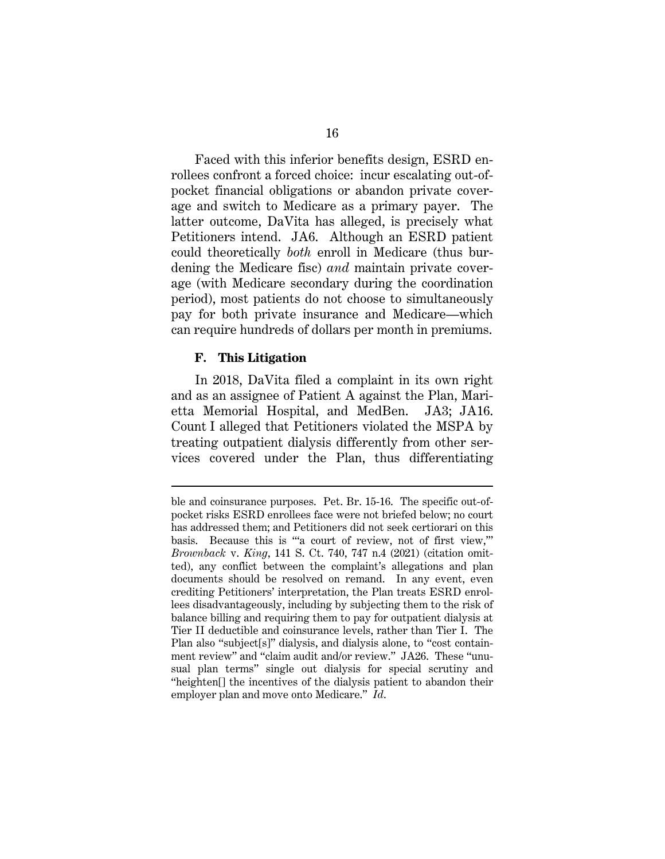Faced with this inferior benefits design, ESRD enrollees confront a forced choice: incur escalating out-ofpocket financial obligations or abandon private coverage and switch to Medicare as a primary payer. The latter outcome, DaVita has alleged, is precisely what Petitioners intend. JA6. Although an ESRD patient could theoretically *both* enroll in Medicare (thus burdening the Medicare fisc) *and* maintain private coverage (with Medicare secondary during the coordination period), most patients do not choose to simultaneously pay for both private insurance and Medicare—which can require hundreds of dollars per month in premiums.

#### **F. This Litigation**

In 2018, DaVita filed a complaint in its own right and as an assignee of Patient A against the Plan, Marietta Memorial Hospital, and MedBen. JA3; JA16. Count I alleged that Petitioners violated the MSPA by treating outpatient dialysis differently from other services covered under the Plan, thus differentiating

ble and coinsurance purposes. Pet. Br. 15-16. The specific out-ofpocket risks ESRD enrollees face were not briefed below; no court has addressed them; and Petitioners did not seek certiorari on this basis. Because this is "'a court of review, not of first view,'" *Brownback* v. *King*, 141 S. Ct. 740, 747 n.4 (2021) (citation omitted), any conflict between the complaint's allegations and plan documents should be resolved on remand. In any event, even crediting Petitioners' interpretation, the Plan treats ESRD enrollees disadvantageously, including by subjecting them to the risk of balance billing and requiring them to pay for outpatient dialysis at Tier II deductible and coinsurance levels, rather than Tier I. The Plan also "subject[s]" dialysis, and dialysis alone, to "cost containment review" and "claim audit and/or review." JA26. These "unusual plan terms" single out dialysis for special scrutiny and "heighten[] the incentives of the dialysis patient to abandon their employer plan and move onto Medicare." *Id*.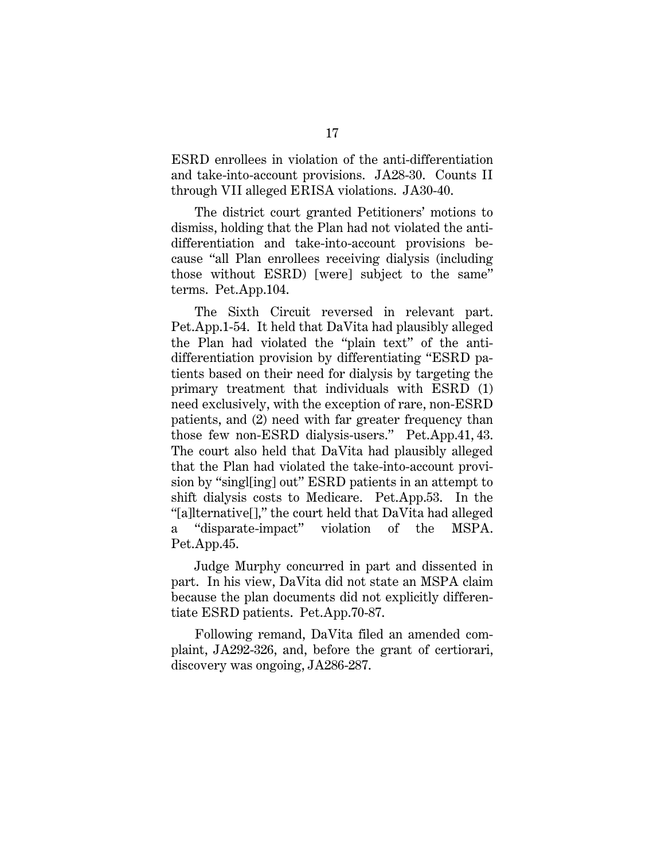ESRD enrollees in violation of the anti-differentiation and take-into-account provisions. JA28-30. Counts II through VII alleged ERISA violations. JA30-40.

The district court granted Petitioners' motions to dismiss, holding that the Plan had not violated the antidifferentiation and take-into-account provisions because "all Plan enrollees receiving dialysis (including those without ESRD) [were] subject to the same" terms. Pet.App.104.

The Sixth Circuit reversed in relevant part. Pet.App.1-54. It held that DaVita had plausibly alleged the Plan had violated the "plain text" of the antidifferentiation provision by differentiating "ESRD patients based on their need for dialysis by targeting the primary treatment that individuals with ESRD (1) need exclusively, with the exception of rare, non-ESRD patients, and (2) need with far greater frequency than those few non-ESRD dialysis-users." Pet.App.41, 43. The court also held that DaVita had plausibly alleged that the Plan had violated the take-into-account provision by "singl[ing] out" ESRD patients in an attempt to shift dialysis costs to Medicare. Pet.App.53. In the "[a]lternative[]," the court held that DaVita had alleged a "disparate-impact" violation of the MSPA. Pet.App.45.

Judge Murphy concurred in part and dissented in part. In his view, DaVita did not state an MSPA claim because the plan documents did not explicitly differentiate ESRD patients. Pet.App.70-87.

Following remand, DaVita filed an amended complaint, JA292-326, and, before the grant of certiorari, discovery was ongoing, JA286-287.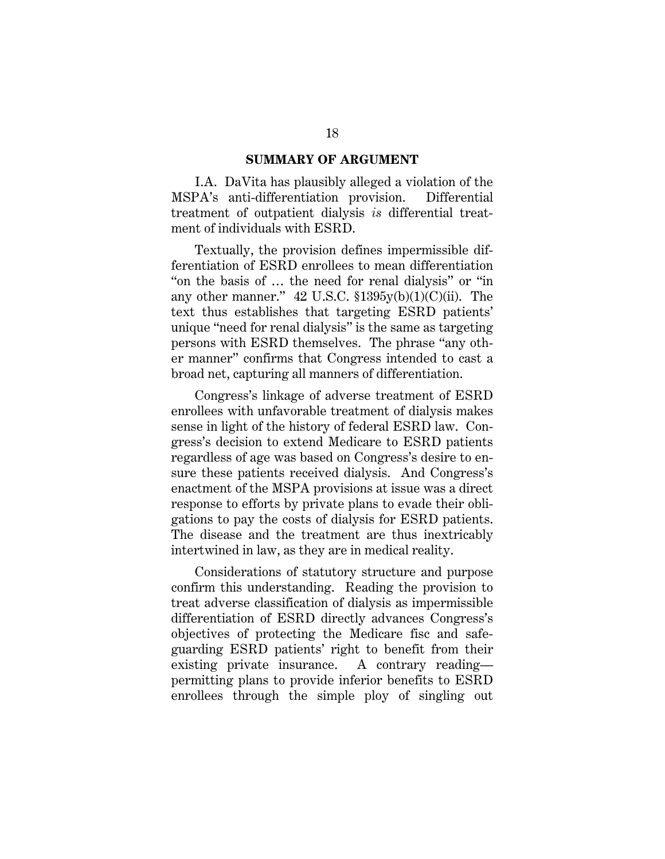#### **SUMMARY OF ARGUMENT**

I.A. DaVita has plausibly alleged a violation of the MSPA's anti-differentiation provision. Differential treatment of outpatient dialysis *is* differential treatment of individuals with ESRD.

Textually, the provision defines impermissible differentiation of ESRD enrollees to mean differentiation "on the basis of … the need for renal dialysis" or "in any other manner."  $42 \text{ U.S.C. } $1395y(b)(1)(C)(ii)$ . The text thus establishes that targeting ESRD patients' unique "need for renal dialysis" is the same as targeting persons with ESRD themselves. The phrase "any other manner" confirms that Congress intended to cast a broad net, capturing all manners of differentiation.

Congress's linkage of adverse treatment of ESRD enrollees with unfavorable treatment of dialysis makes sense in light of the history of federal ESRD law. Congress's decision to extend Medicare to ESRD patients regardless of age was based on Congress's desire to ensure these patients received dialysis. And Congress's enactment of the MSPA provisions at issue was a direct response to efforts by private plans to evade their obligations to pay the costs of dialysis for ESRD patients. The disease and the treatment are thus inextricably intertwined in law, as they are in medical reality.

Considerations of statutory structure and purpose confirm this understanding. Reading the provision to treat adverse classification of dialysis as impermissible differentiation of ESRD directly advances Congress's objectives of protecting the Medicare fisc and safeguarding ESRD patients' right to benefit from their existing private insurance. A contrary reading permitting plans to provide inferior benefits to ESRD enrollees through the simple ploy of singling out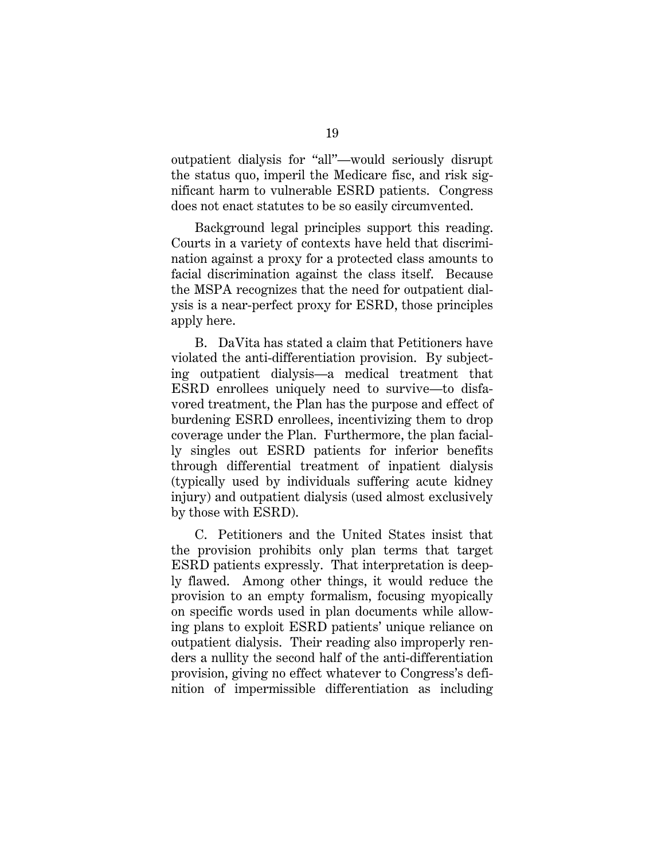outpatient dialysis for "all"—would seriously disrupt the status quo, imperil the Medicare fisc, and risk significant harm to vulnerable ESRD patients. Congress does not enact statutes to be so easily circumvented.

Background legal principles support this reading. Courts in a variety of contexts have held that discrimination against a proxy for a protected class amounts to facial discrimination against the class itself. Because the MSPA recognizes that the need for outpatient dialysis is a near-perfect proxy for ESRD, those principles apply here.

B. DaVita has stated a claim that Petitioners have violated the anti-differentiation provision. By subjecting outpatient dialysis—a medical treatment that ESRD enrollees uniquely need to survive—to disfavored treatment, the Plan has the purpose and effect of burdening ESRD enrollees, incentivizing them to drop coverage under the Plan. Furthermore, the plan facially singles out ESRD patients for inferior benefits through differential treatment of inpatient dialysis (typically used by individuals suffering acute kidney injury) and outpatient dialysis (used almost exclusively by those with ESRD).

C. Petitioners and the United States insist that the provision prohibits only plan terms that target ESRD patients expressly. That interpretation is deeply flawed. Among other things, it would reduce the provision to an empty formalism, focusing myopically on specific words used in plan documents while allowing plans to exploit ESRD patients' unique reliance on outpatient dialysis. Their reading also improperly renders a nullity the second half of the anti-differentiation provision, giving no effect whatever to Congress's definition of impermissible differentiation as including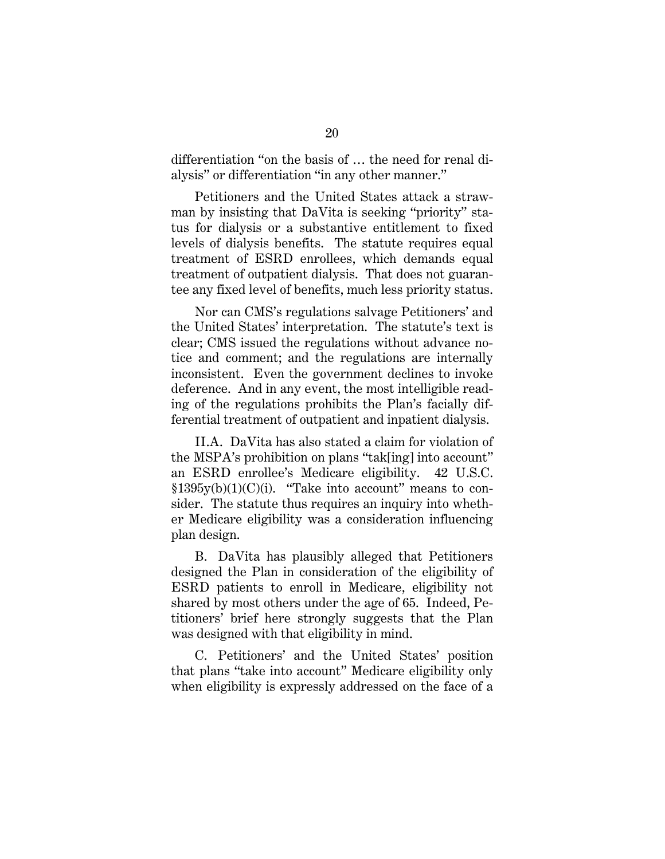differentiation "on the basis of … the need for renal dialysis" or differentiation "in any other manner."

Petitioners and the United States attack a strawman by insisting that DaVita is seeking "priority" status for dialysis or a substantive entitlement to fixed levels of dialysis benefits. The statute requires equal treatment of ESRD enrollees, which demands equal treatment of outpatient dialysis. That does not guarantee any fixed level of benefits, much less priority status.

Nor can CMS's regulations salvage Petitioners' and the United States' interpretation. The statute's text is clear; CMS issued the regulations without advance notice and comment; and the regulations are internally inconsistent. Even the government declines to invoke deference. And in any event, the most intelligible reading of the regulations prohibits the Plan's facially differential treatment of outpatient and inpatient dialysis.

II.A. DaVita has also stated a claim for violation of the MSPA's prohibition on plans "tak[ing] into account" an ESRD enrollee's Medicare eligibility. 42 U.S.C.  $$1395y(b)(1)(C)(i)$ . "Take into account" means to consider. The statute thus requires an inquiry into whether Medicare eligibility was a consideration influencing plan design.

B. DaVita has plausibly alleged that Petitioners designed the Plan in consideration of the eligibility of ESRD patients to enroll in Medicare, eligibility not shared by most others under the age of 65. Indeed, Petitioners' brief here strongly suggests that the Plan was designed with that eligibility in mind.

C. Petitioners' and the United States' position that plans "take into account" Medicare eligibility only when eligibility is expressly addressed on the face of a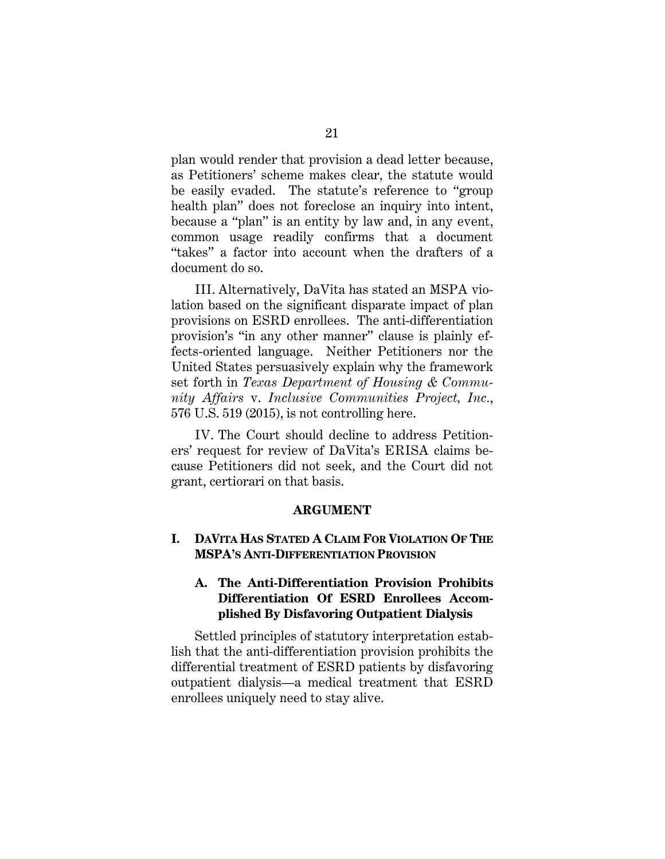plan would render that provision a dead letter because, as Petitioners' scheme makes clear, the statute would be easily evaded. The statute's reference to "group health plan" does not foreclose an inquiry into intent, because a "plan" is an entity by law and, in any event, common usage readily confirms that a document "takes" a factor into account when the drafters of a document do so.

III. Alternatively, DaVita has stated an MSPA violation based on the significant disparate impact of plan provisions on ESRD enrollees. The anti-differentiation provision's "in any other manner" clause is plainly effects-oriented language. Neither Petitioners nor the United States persuasively explain why the framework set forth in *Texas Department of Housing & Community Affairs* v. *Inclusive Communities Project, Inc.*, 576 U.S. 519 (2015), is not controlling here.

IV. The Court should decline to address Petitioners' request for review of DaVita's ERISA claims because Petitioners did not seek, and the Court did not grant, certiorari on that basis.

#### **ARGUMENT**

## **I. DAVITA HAS STATED A CLAIM FOR VIOLATION OF THE MSPA'S ANTI-DIFFERENTIATION PROVISION**

## **A. The Anti-Differentiation Provision Prohibits Differentiation Of ESRD Enrollees Accomplished By Disfavoring Outpatient Dialysis**

Settled principles of statutory interpretation establish that the anti-differentiation provision prohibits the differential treatment of ESRD patients by disfavoring outpatient dialysis—a medical treatment that ESRD enrollees uniquely need to stay alive.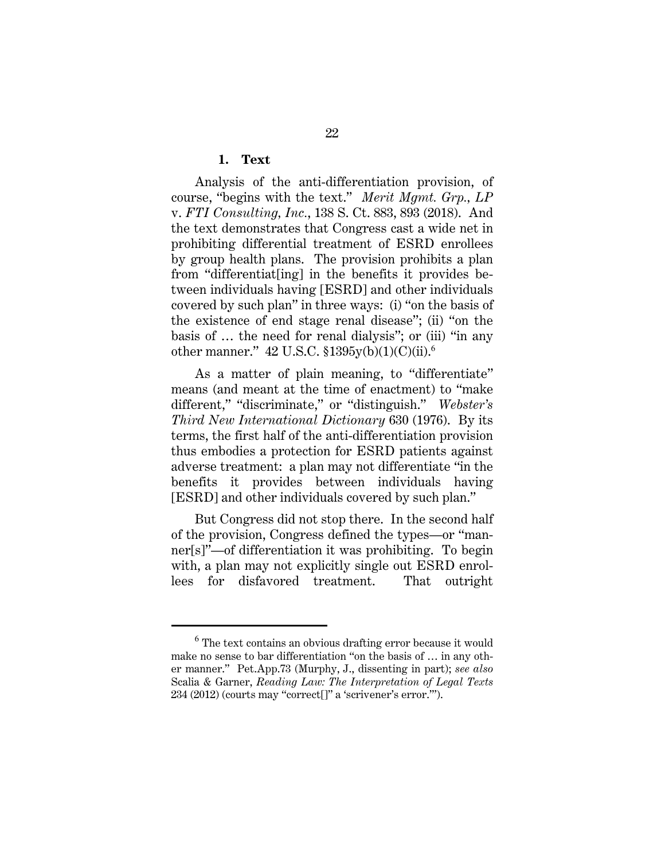#### **1. Text**

Analysis of the anti-differentiation provision, of course, "begins with the text." *Merit Mgmt. Grp., LP* v. *FTI Consulting, Inc.*, 138 S. Ct. 883, 893 (2018). And the text demonstrates that Congress cast a wide net in prohibiting differential treatment of ESRD enrollees by group health plans. The provision prohibits a plan from "differentiat[ing] in the benefits it provides between individuals having [ESRD] and other individuals covered by such plan" in three ways: (i) "on the basis of the existence of end stage renal disease"; (ii) "on the basis of … the need for renal dialysis"; or (iii) "in any other manner."  $42$  U.S.C.  $$1395y(b)(1)(C)(ii)$ .<sup>6</sup>

As a matter of plain meaning, to "differentiate" means (and meant at the time of enactment) to "make different," "discriminate," or "distinguish." *Webster's Third New International Dictionary* 630 (1976). By its terms, the first half of the anti-differentiation provision thus embodies a protection for ESRD patients against adverse treatment: a plan may not differentiate "in the benefits it provides between individuals having [ESRD] and other individuals covered by such plan."

But Congress did not stop there. In the second half of the provision, Congress defined the types—or "manner[s]"—of differentiation it was prohibiting. To begin with, a plan may not explicitly single out ESRD enrollees for disfavored treatment. That outright

 $6$  The text contains an obvious drafting error because it would make no sense to bar differentiation "on the basis of … in any other manner." Pet.App.73 (Murphy, J., dissenting in part); *see also* Scalia & Garner, *Reading Law: The Interpretation of Legal Texts* 234 (2012) (courts may "correct[]" a 'scrivener's error.'").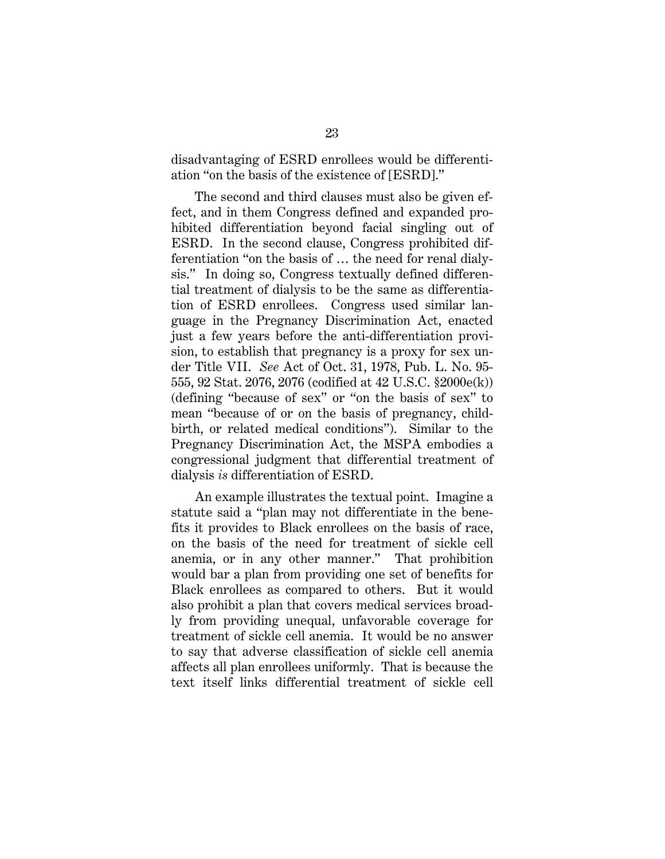disadvantaging of ESRD enrollees would be differentiation "on the basis of the existence of [ESRD]."

The second and third clauses must also be given effect, and in them Congress defined and expanded prohibited differentiation beyond facial singling out of ESRD. In the second clause, Congress prohibited differentiation "on the basis of … the need for renal dialysis." In doing so, Congress textually defined differential treatment of dialysis to be the same as differentiation of ESRD enrollees. Congress used similar language in the Pregnancy Discrimination Act, enacted just a few years before the anti-differentiation provision, to establish that pregnancy is a proxy for sex under Title VII. *See* Act of Oct. 31, 1978, Pub. L. No. 95- 555, 92 Stat. 2076, 2076 (codified at 42 U.S.C. §2000e(k)) (defining "because of sex" or "on the basis of sex" to mean "because of or on the basis of pregnancy, childbirth, or related medical conditions"). Similar to the Pregnancy Discrimination Act, the MSPA embodies a congressional judgment that differential treatment of dialysis *is* differentiation of ESRD.

An example illustrates the textual point. Imagine a statute said a "plan may not differentiate in the benefits it provides to Black enrollees on the basis of race, on the basis of the need for treatment of sickle cell anemia, or in any other manner." That prohibition would bar a plan from providing one set of benefits for Black enrollees as compared to others. But it would also prohibit a plan that covers medical services broadly from providing unequal, unfavorable coverage for treatment of sickle cell anemia. It would be no answer to say that adverse classification of sickle cell anemia affects all plan enrollees uniformly. That is because the text itself links differential treatment of sickle cell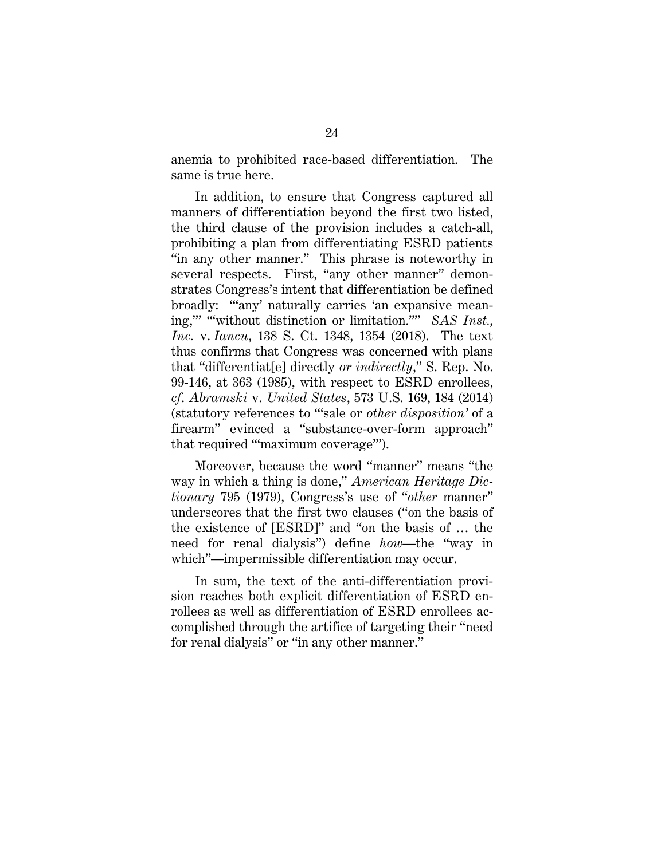anemia to prohibited race-based differentiation. The same is true here.

In addition, to ensure that Congress captured all manners of differentiation beyond the first two listed, the third clause of the provision includes a catch-all, prohibiting a plan from differentiating ESRD patients "in any other manner." This phrase is noteworthy in several respects. First, "any other manner" demonstrates Congress's intent that differentiation be defined broadly: "'any' naturally carries 'an expansive meaning,"" "without distinction or limitation."" *SAS Inst.*, *Inc.* v. *Iancu*, 138 S. Ct. 1348, 1354 (2018). The text thus confirms that Congress was concerned with plans that "differentiat[e] directly *or indirectly*," S. Rep. No. 99-146, at 363 (1985), with respect to ESRD enrollees, *cf*. *Abramski* v. *United States*, 573 U.S. 169, 184 (2014) (statutory references to "'sale or *other disposition'* of a firearm" evinced a "substance-over-form approach" that required "'maximum coverage'").

Moreover, because the word "manner" means "the way in which a thing is done," *American Heritage Dictionary* 795 (1979), Congress's use of "*other* manner" underscores that the first two clauses ("on the basis of the existence of [ESRD]" and "on the basis of … the need for renal dialysis") define *how*—the "way in which"—impermissible differentiation may occur.

In sum, the text of the anti-differentiation provision reaches both explicit differentiation of ESRD enrollees as well as differentiation of ESRD enrollees accomplished through the artifice of targeting their "need for renal dialysis" or "in any other manner."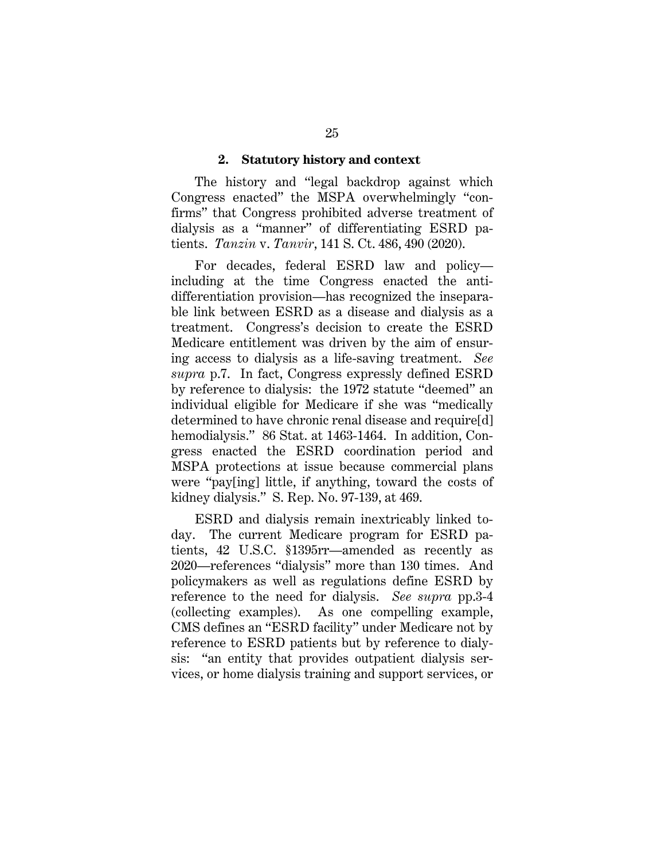#### **2. Statutory history and context**

The history and "legal backdrop against which Congress enacted" the MSPA overwhelmingly "confirms" that Congress prohibited adverse treatment of dialysis as a "manner" of differentiating ESRD patients. *Tanzin* v. *Tanvir*, 141 S. Ct. 486, 490 (2020).

For decades, federal ESRD law and policy including at the time Congress enacted the antidifferentiation provision—has recognized the inseparable link between ESRD as a disease and dialysis as a treatment. Congress's decision to create the ESRD Medicare entitlement was driven by the aim of ensuring access to dialysis as a life-saving treatment. *See supra* p.7. In fact, Congress expressly defined ESRD by reference to dialysis: the 1972 statute "deemed" an individual eligible for Medicare if she was "medically determined to have chronic renal disease and require[d] hemodialysis." 86 Stat. at 1463-1464. In addition, Congress enacted the ESRD coordination period and MSPA protections at issue because commercial plans were "pay[ing] little, if anything, toward the costs of kidney dialysis." S. Rep. No. 97-139, at 469.

ESRD and dialysis remain inextricably linked today. The current Medicare program for ESRD patients, 42 U.S.C. §1395rr—amended as recently as 2020—references "dialysis" more than 130 times. And policymakers as well as regulations define ESRD by reference to the need for dialysis. *See supra* pp.3-4 (collecting examples). As one compelling example, CMS defines an "ESRD facility" under Medicare not by reference to ESRD patients but by reference to dialysis: "an entity that provides outpatient dialysis services, or home dialysis training and support services, or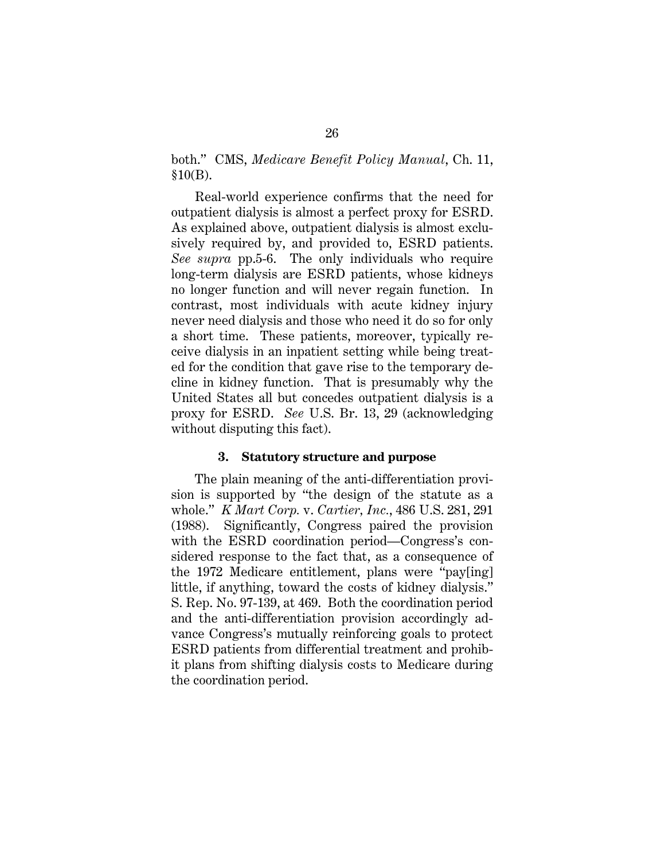both." CMS, *Medicare Benefit Policy Manual*, Ch. 11,  $$10(B)$ .

Real-world experience confirms that the need for outpatient dialysis is almost a perfect proxy for ESRD. As explained above, outpatient dialysis is almost exclusively required by, and provided to, ESRD patients. *See supra* pp.5-6. The only individuals who require long-term dialysis are ESRD patients, whose kidneys no longer function and will never regain function. In contrast, most individuals with acute kidney injury never need dialysis and those who need it do so for only a short time. These patients, moreover, typically receive dialysis in an inpatient setting while being treated for the condition that gave rise to the temporary decline in kidney function. That is presumably why the United States all but concedes outpatient dialysis is a proxy for ESRD. *See* U.S. Br. 13, 29 (acknowledging without disputing this fact).

#### **3. Statutory structure and purpose**

The plain meaning of the anti-differentiation provision is supported by "the design of the statute as a whole." *K Mart Corp.* v. *Cartier, Inc.*, 486 U.S. 281, 291 (1988). Significantly, Congress paired the provision with the ESRD coordination period—Congress's considered response to the fact that, as a consequence of the 1972 Medicare entitlement, plans were "pay[ing] little, if anything, toward the costs of kidney dialysis." S. Rep. No. 97-139, at 469. Both the coordination period and the anti-differentiation provision accordingly advance Congress's mutually reinforcing goals to protect ESRD patients from differential treatment and prohibit plans from shifting dialysis costs to Medicare during the coordination period.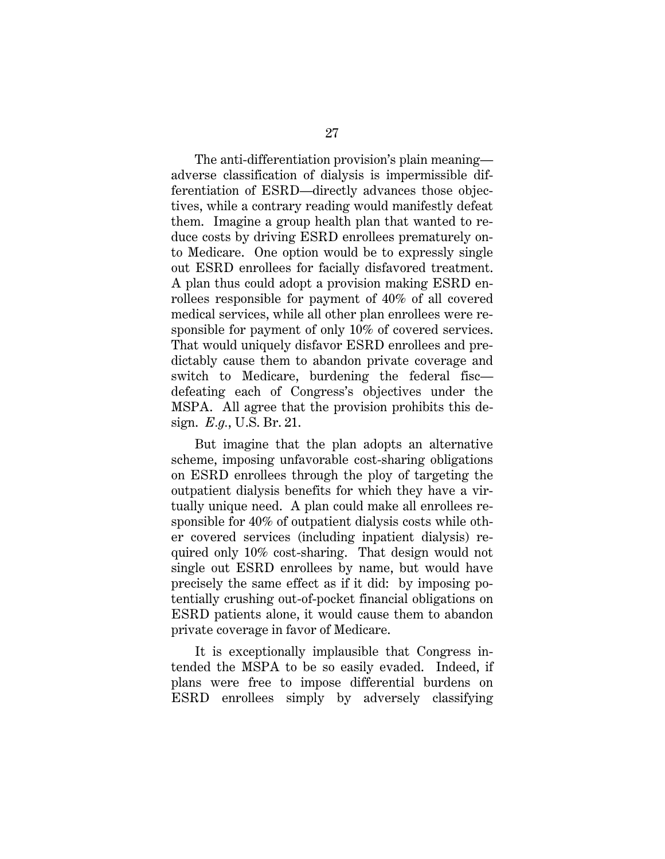The anti-differentiation provision's plain meaning adverse classification of dialysis is impermissible differentiation of ESRD—directly advances those objectives, while a contrary reading would manifestly defeat them. Imagine a group health plan that wanted to reduce costs by driving ESRD enrollees prematurely onto Medicare. One option would be to expressly single out ESRD enrollees for facially disfavored treatment. A plan thus could adopt a provision making ESRD enrollees responsible for payment of 40% of all covered medical services, while all other plan enrollees were responsible for payment of only 10% of covered services. That would uniquely disfavor ESRD enrollees and predictably cause them to abandon private coverage and switch to Medicare, burdening the federal fisc defeating each of Congress's objectives under the MSPA. All agree that the provision prohibits this design. *E.g.*, U.S. Br. 21.

But imagine that the plan adopts an alternative scheme, imposing unfavorable cost-sharing obligations on ESRD enrollees through the ploy of targeting the outpatient dialysis benefits for which they have a virtually unique need. A plan could make all enrollees responsible for 40% of outpatient dialysis costs while other covered services (including inpatient dialysis) required only 10% cost-sharing. That design would not single out ESRD enrollees by name, but would have precisely the same effect as if it did: by imposing potentially crushing out-of-pocket financial obligations on ESRD patients alone, it would cause them to abandon private coverage in favor of Medicare.

It is exceptionally implausible that Congress intended the MSPA to be so easily evaded. Indeed, if plans were free to impose differential burdens on ESRD enrollees simply by adversely classifying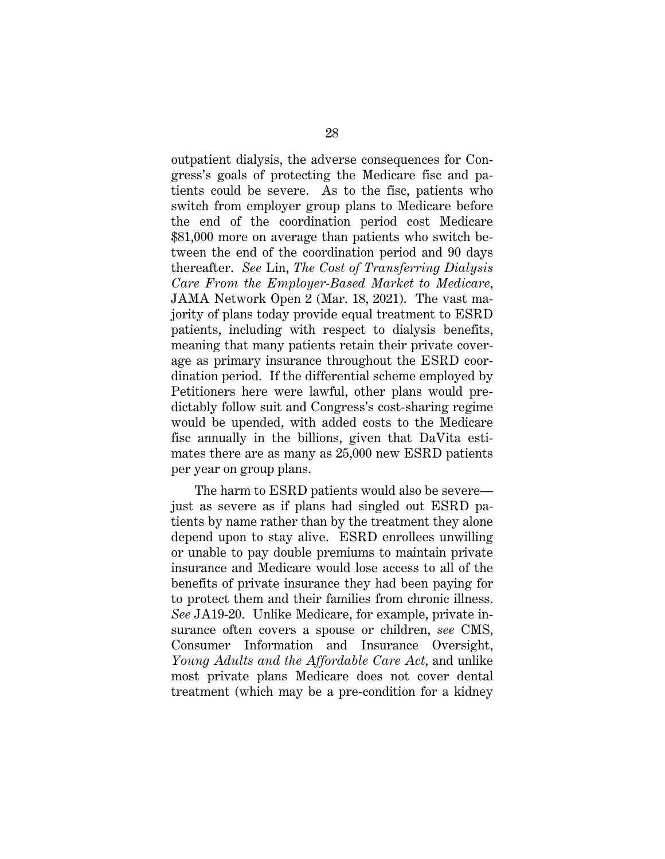outpatient dialysis, the adverse consequences for Congress's goals of protecting the Medicare fisc and patients could be severe. As to the fisc, patients who switch from employer group plans to Medicare before the end of the coordination period cost Medicare \$81,000 more on average than patients who switch between the end of the coordination period and 90 days thereafter. *See* Lin, *The Cost of Transferring Dialysis Care From the Employer-Based Market to Medicare*, JAMA Network Open 2 (Mar. 18, 2021). The vast majority of plans today provide equal treatment to ESRD patients, including with respect to dialysis benefits, meaning that many patients retain their private coverage as primary insurance throughout the ESRD coordination period. If the differential scheme employed by Petitioners here were lawful, other plans would predictably follow suit and Congress's cost-sharing regime would be upended, with added costs to the Medicare fisc annually in the billions, given that DaVita estimates there are as many as 25,000 new ESRD patients per year on group plans.

The harm to ESRD patients would also be severe just as severe as if plans had singled out ESRD patients by name rather than by the treatment they alone depend upon to stay alive. ESRD enrollees unwilling or unable to pay double premiums to maintain private insurance and Medicare would lose access to all of the benefits of private insurance they had been paying for to protect them and their families from chronic illness. *See* JA19-20. Unlike Medicare, for example, private insurance often covers a spouse or children, *see* CMS, Consumer Information and Insurance Oversight, *Young Adults and the Affordable Care Act*, and unlike most private plans Medicare does not cover dental treatment (which may be a pre-condition for a kidney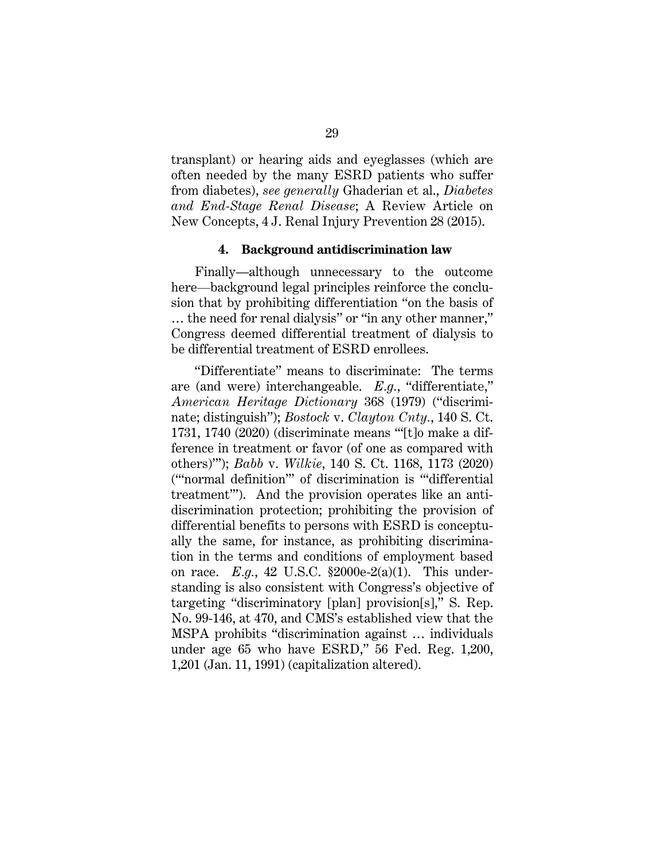transplant) or hearing aids and eyeglasses (which are often needed by the many ESRD patients who suffer from diabetes), *see generally* Ghaderian et al., *Diabetes and End-Stage Renal Disease*; A Review Article on New Concepts, 4 J. Renal Injury Prevention 28 (2015).

#### **4. Background antidiscrimination law**

Finally—although unnecessary to the outcome here—background legal principles reinforce the conclusion that by prohibiting differentiation "on the basis of … the need for renal dialysis" or "in any other manner," Congress deemed differential treatment of dialysis to be differential treatment of ESRD enrollees.

"Differentiate" means to discriminate: The terms are (and were) interchangeable. *E.g.*, "differentiate," *American Heritage Dictionary* 368 (1979) ("discriminate; distinguish"); *Bostock* v. *Clayton Cnty.*, 140 S. Ct. 1731, 1740 (2020) (discriminate means "'[t]o make a difference in treatment or favor (of one as compared with others)'"); *Babb* v. *Wilkie*, 140 S. Ct. 1168, 1173 (2020) ("'normal definition'" of discrimination is "'differential treatment'"). And the provision operates like an antidiscrimination protection; prohibiting the provision of differential benefits to persons with ESRD is conceptually the same, for instance, as prohibiting discrimination in the terms and conditions of employment based on race. *E.g.*, 42 U.S.C. §2000e-2(a)(1). This understanding is also consistent with Congress's objective of targeting "discriminatory [plan] provision[s]," S. Rep. No. 99-146, at 470, and CMS's established view that the MSPA prohibits "discrimination against … individuals under age 65 who have ESRD," 56 Fed. Reg. 1,200, 1,201 (Jan. 11, 1991) (capitalization altered).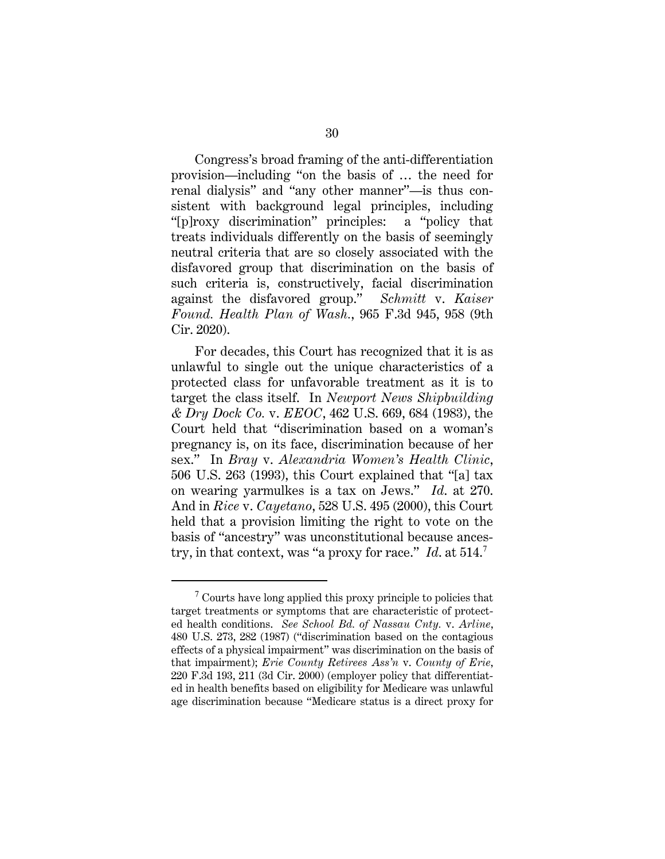Congress's broad framing of the anti-differentiation provision—including "on the basis of … the need for renal dialysis" and "any other manner"—is thus consistent with background legal principles, including "[p]roxy discrimination" principles: a "policy that treats individuals differently on the basis of seemingly neutral criteria that are so closely associated with the disfavored group that discrimination on the basis of such criteria is, constructively, facial discrimination against the disfavored group." *Schmitt* v. *Kaiser Found. Health Plan of Wash.*, 965 F.3d 945, 958 (9th Cir. 2020).

For decades, this Court has recognized that it is as unlawful to single out the unique characteristics of a protected class for unfavorable treatment as it is to target the class itself. In *Newport News Shipbuilding & Dry Dock Co.* v. *EEOC*, 462 U.S. 669, 684 (1983), the Court held that "discrimination based on a woman's pregnancy is, on its face, discrimination because of her sex." In *Bray* v. *Alexandria Women's Health Clinic*, 506 U.S. 263 (1993), this Court explained that "[a] tax on wearing yarmulkes is a tax on Jews." *Id*. at 270. And in *Rice* v. *Cayetano*, 528 U.S. 495 (2000), this Court held that a provision limiting the right to vote on the basis of "ancestry" was unconstitutional because ancestry, in that context, was "a proxy for race." *Id*. at 514.<sup>7</sup>

 $7$  Courts have long applied this proxy principle to policies that target treatments or symptoms that are characteristic of protected health conditions. *See School Bd. of Nassau Cnty.* v. *Arline*, 480 U.S. 273, 282 (1987) ("discrimination based on the contagious effects of a physical impairment" was discrimination on the basis of that impairment); *Erie County Retirees Ass'n* v. *County of Erie*, 220 F.3d 193, 211 (3d Cir. 2000) (employer policy that differentiated in health benefits based on eligibility for Medicare was unlawful age discrimination because "Medicare status is a direct proxy for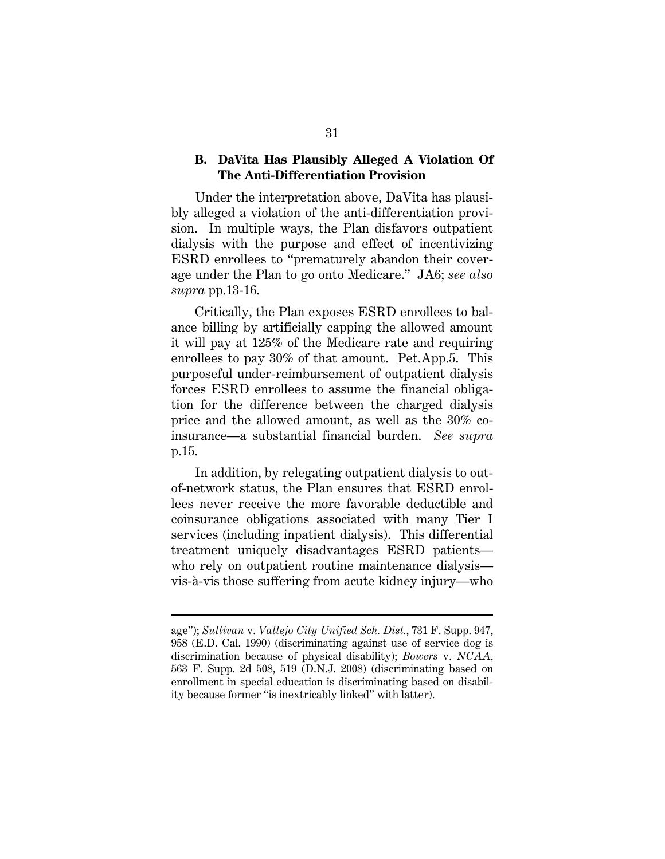#### **B. DaVita Has Plausibly Alleged A Violation Of The Anti-Differentiation Provision**

Under the interpretation above, DaVita has plausibly alleged a violation of the anti-differentiation provision. In multiple ways, the Plan disfavors outpatient dialysis with the purpose and effect of incentivizing ESRD enrollees to "prematurely abandon their coverage under the Plan to go onto Medicare." JA6; *see also supra* pp.13-16.

Critically, the Plan exposes ESRD enrollees to balance billing by artificially capping the allowed amount it will pay at 125% of the Medicare rate and requiring enrollees to pay 30% of that amount. Pet.App.5. This purposeful under-reimbursement of outpatient dialysis forces ESRD enrollees to assume the financial obligation for the difference between the charged dialysis price and the allowed amount, as well as the 30% coinsurance—a substantial financial burden. *See supra* p.15.

In addition, by relegating outpatient dialysis to outof-network status, the Plan ensures that ESRD enrollees never receive the more favorable deductible and coinsurance obligations associated with many Tier I services (including inpatient dialysis). This differential treatment uniquely disadvantages ESRD patients who rely on outpatient routine maintenance dialysis vis-à-vis those suffering from acute kidney injury—who

age"); *Sullivan* v. *Vallejo City Unified Sch. Dist.*, 731 F. Supp. 947, 958 (E.D. Cal. 1990) (discriminating against use of service dog is discrimination because of physical disability); *Bowers* v. *NCAA*, 563 F. Supp. 2d 508, 519 (D.N.J. 2008) (discriminating based on enrollment in special education is discriminating based on disability because former "is inextricably linked" with latter).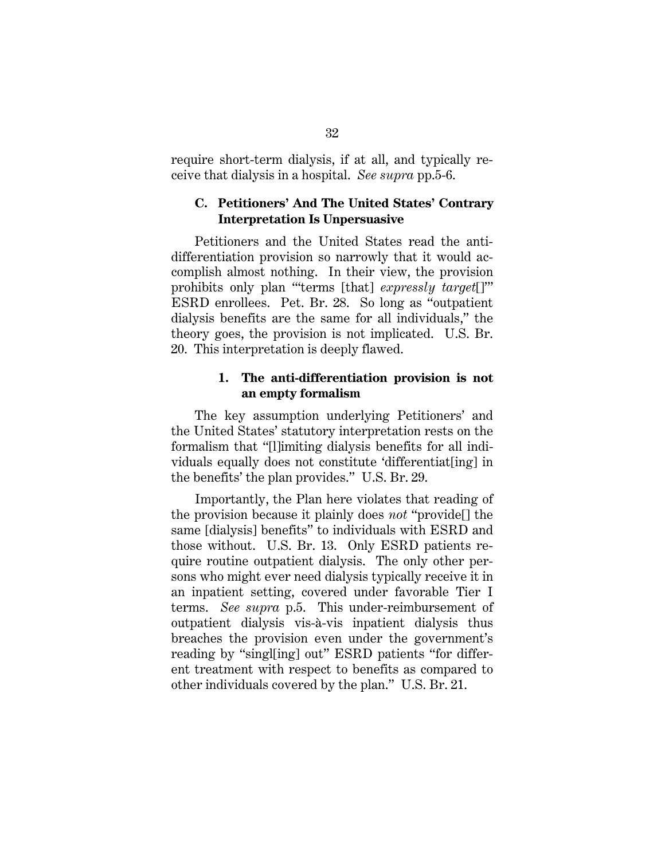require short-term dialysis, if at all, and typically receive that dialysis in a hospital. *See supra* pp.5-6.

### **C. Petitioners' And The United States' Contrary Interpretation Is Unpersuasive**

Petitioners and the United States read the antidifferentiation provision so narrowly that it would accomplish almost nothing. In their view, the provision prohibits only plan "'terms [that] *expressly target*[]'" ESRD enrollees. Pet. Br. 28. So long as "outpatient dialysis benefits are the same for all individuals," the theory goes, the provision is not implicated. U.S. Br. 20. This interpretation is deeply flawed.

#### **1. The anti-differentiation provision is not an empty formalism**

The key assumption underlying Petitioners' and the United States' statutory interpretation rests on the formalism that "[l]imiting dialysis benefits for all individuals equally does not constitute 'differentiat[ing] in the benefits' the plan provides." U.S. Br. 29.

Importantly, the Plan here violates that reading of the provision because it plainly does *not* "provide[] the same [dialysis] benefits" to individuals with ESRD and those without. U.S. Br. 13. Only ESRD patients require routine outpatient dialysis. The only other persons who might ever need dialysis typically receive it in an inpatient setting, covered under favorable Tier I terms. *See supra* p.5. This under-reimbursement of outpatient dialysis vis-à-vis inpatient dialysis thus breaches the provision even under the government's reading by "singl[ing] out" ESRD patients "for different treatment with respect to benefits as compared to other individuals covered by the plan." U.S. Br. 21.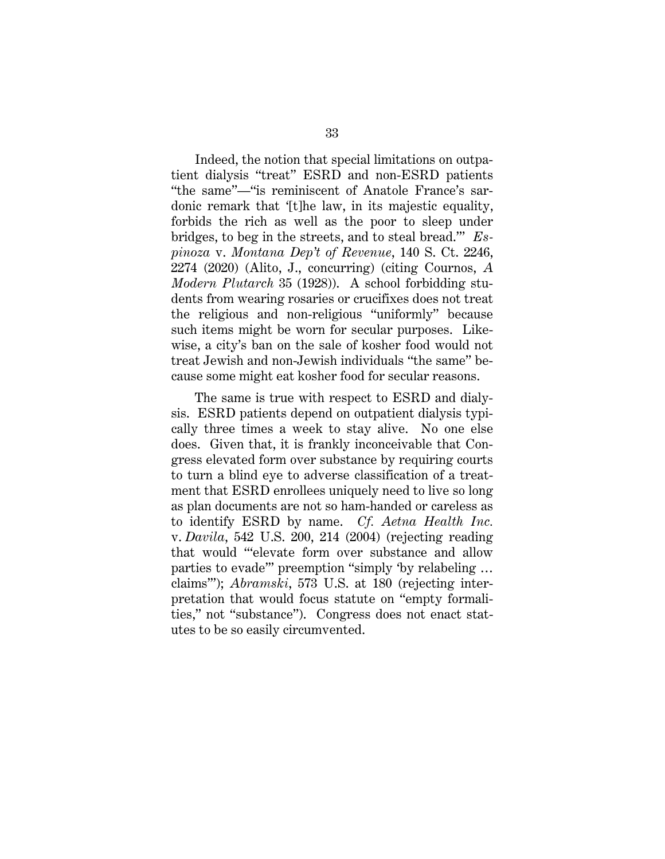Indeed, the notion that special limitations on outpatient dialysis "treat" ESRD and non-ESRD patients "the same"—"is reminiscent of Anatole France's sardonic remark that '[t]he law, in its majestic equality, forbids the rich as well as the poor to sleep under bridges, to beg in the streets, and to steal bread.'" *Espinoza* v. *Montana Dep't of Revenue*, 140 S. Ct. 2246, 2274 (2020) (Alito, J., concurring) (citing Cournos, *A Modern Plutarch* 35 (1928)). A school forbidding students from wearing rosaries or crucifixes does not treat the religious and non-religious "uniformly" because such items might be worn for secular purposes. Likewise, a city's ban on the sale of kosher food would not treat Jewish and non-Jewish individuals "the same" because some might eat kosher food for secular reasons.

The same is true with respect to ESRD and dialysis. ESRD patients depend on outpatient dialysis typically three times a week to stay alive. No one else does. Given that, it is frankly inconceivable that Congress elevated form over substance by requiring courts to turn a blind eye to adverse classification of a treatment that ESRD enrollees uniquely need to live so long as plan documents are not so ham-handed or careless as to identify ESRD by name. *Cf. Aetna Health Inc.* v. *Davila*, 542 U.S. 200, 214 (2004) (rejecting reading that would "'elevate form over substance and allow parties to evade'" preemption "simply 'by relabeling … claims'"); *Abramski*, 573 U.S. at 180 (rejecting interpretation that would focus statute on "empty formalities," not "substance"). Congress does not enact statutes to be so easily circumvented.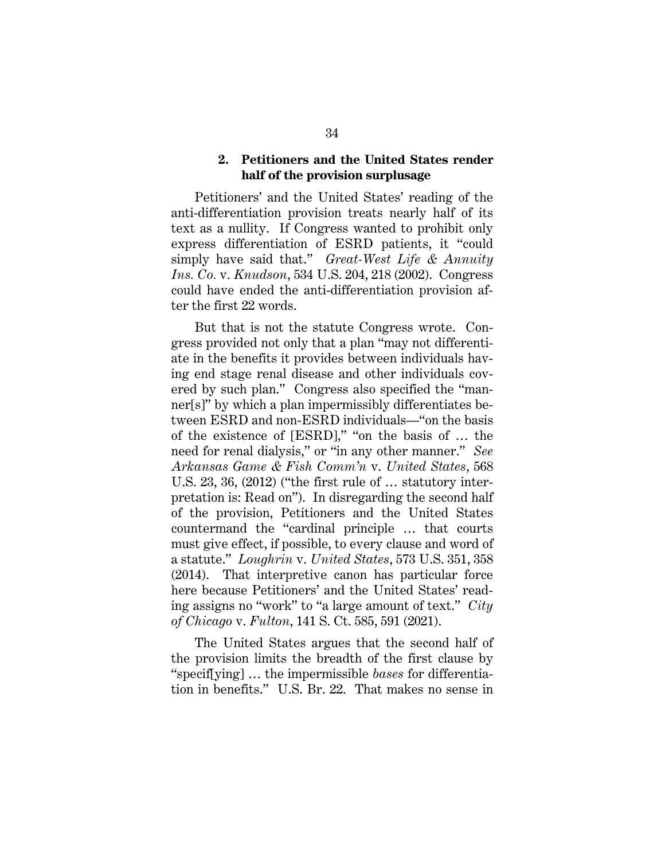#### **2. Petitioners and the United States render half of the provision surplusage**

Petitioners' and the United States' reading of the anti-differentiation provision treats nearly half of its text as a nullity. If Congress wanted to prohibit only express differentiation of ESRD patients, it "could simply have said that." *Great-West Life & Annuity Ins. Co.* v. *Knudson*, 534 U.S. 204, 218 (2002). Congress could have ended the anti-differentiation provision after the first 22 words.

But that is not the statute Congress wrote. Congress provided not only that a plan "may not differentiate in the benefits it provides between individuals having end stage renal disease and other individuals covered by such plan." Congress also specified the "manner[s]" by which a plan impermissibly differentiates between ESRD and non-ESRD individuals—"on the basis of the existence of [ESRD]," "on the basis of … the need for renal dialysis," or "in any other manner." *See Arkansas Game & Fish Comm'n* v. *United States*, 568 U.S. 23, 36, (2012) ("the first rule of … statutory interpretation is: Read on"). In disregarding the second half of the provision, Petitioners and the United States countermand the "cardinal principle … that courts must give effect, if possible, to every clause and word of a statute." *Loughrin* v. *United States*, 573 U.S. 351, 358 (2014). That interpretive canon has particular force here because Petitioners' and the United States' reading assigns no "work" to "a large amount of text." *City of Chicago* v. *Fulton*, 141 S. Ct. 585, 591 (2021).

The United States argues that the second half of the provision limits the breadth of the first clause by "specif[ying] … the impermissible *bases* for differentiation in benefits." U.S. Br. 22. That makes no sense in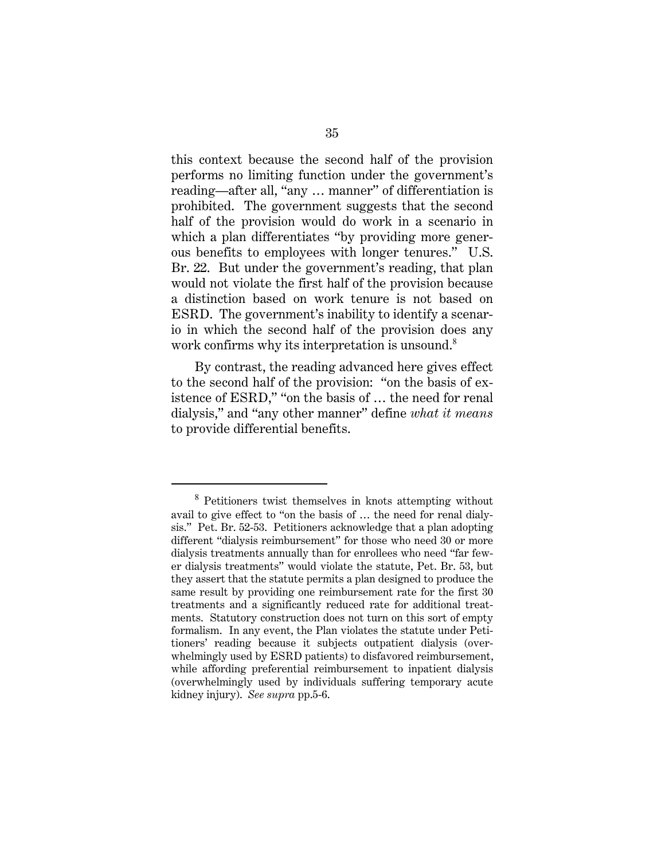this context because the second half of the provision performs no limiting function under the government's reading—after all, "any … manner" of differentiation is prohibited. The government suggests that the second half of the provision would do work in a scenario in which a plan differentiates "by providing more generous benefits to employees with longer tenures." U.S. Br. 22. But under the government's reading, that plan would not violate the first half of the provision because a distinction based on work tenure is not based on ESRD. The government's inability to identify a scenario in which the second half of the provision does any work confirms why its interpretation is unsound.<sup>8</sup>

By contrast, the reading advanced here gives effect to the second half of the provision: "on the basis of existence of ESRD," "on the basis of … the need for renal dialysis," and "any other manner" define *what it means* to provide differential benefits.

<sup>8</sup> Petitioners twist themselves in knots attempting without avail to give effect to "on the basis of … the need for renal dialysis." Pet. Br. 52-53. Petitioners acknowledge that a plan adopting different "dialysis reimbursement" for those who need 30 or more dialysis treatments annually than for enrollees who need "far fewer dialysis treatments" would violate the statute, Pet. Br. 53, but they assert that the statute permits a plan designed to produce the same result by providing one reimbursement rate for the first 30 treatments and a significantly reduced rate for additional treatments. Statutory construction does not turn on this sort of empty formalism. In any event, the Plan violates the statute under Petitioners' reading because it subjects outpatient dialysis (overwhelmingly used by ESRD patients) to disfavored reimbursement, while affording preferential reimbursement to inpatient dialysis (overwhelmingly used by individuals suffering temporary acute kidney injury). *See supra* pp.5-6.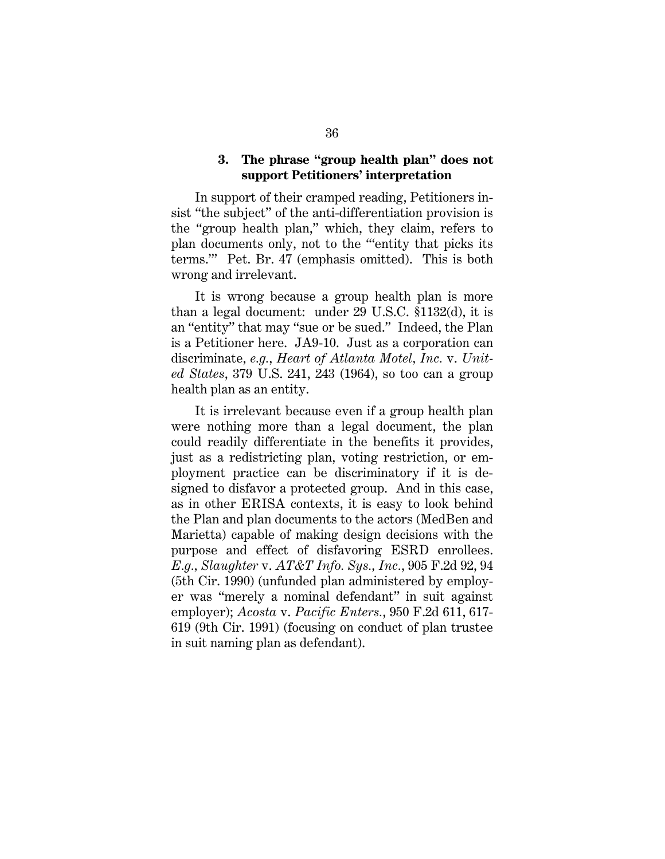## **3. The phrase "group health plan" does not support Petitioners' interpretation**

In support of their cramped reading, Petitioners insist "the subject" of the anti-differentiation provision is the "group health plan," which, they claim, refers to plan documents only, not to the "'entity that picks its terms.'" Pet. Br. 47 (emphasis omitted). This is both wrong and irrelevant.

It is wrong because a group health plan is more than a legal document: under 29 U.S.C. §1132(d), it is an "entity" that may "sue or be sued." Indeed, the Plan is a Petitioner here. JA9-10. Just as a corporation can discriminate, *e.g.*, *Heart of Atlanta Motel, Inc.* v. *United States*, 379 U.S. 241, 243 (1964), so too can a group health plan as an entity.

It is irrelevant because even if a group health plan were nothing more than a legal document, the plan could readily differentiate in the benefits it provides, just as a redistricting plan, voting restriction, or employment practice can be discriminatory if it is designed to disfavor a protected group. And in this case, as in other ERISA contexts, it is easy to look behind the Plan and plan documents to the actors (MedBen and Marietta) capable of making design decisions with the purpose and effect of disfavoring ESRD enrollees. *E.g., Slaughter* v. *AT&T Info. Sys., Inc.*, 905 F.2d 92, 94 (5th Cir. 1990) (unfunded plan administered by employer was "merely a nominal defendant" in suit against employer); *Acosta* v. *Pacific Enters.*, 950 F.2d 611, 617- 619 (9th Cir. 1991) (focusing on conduct of plan trustee in suit naming plan as defendant).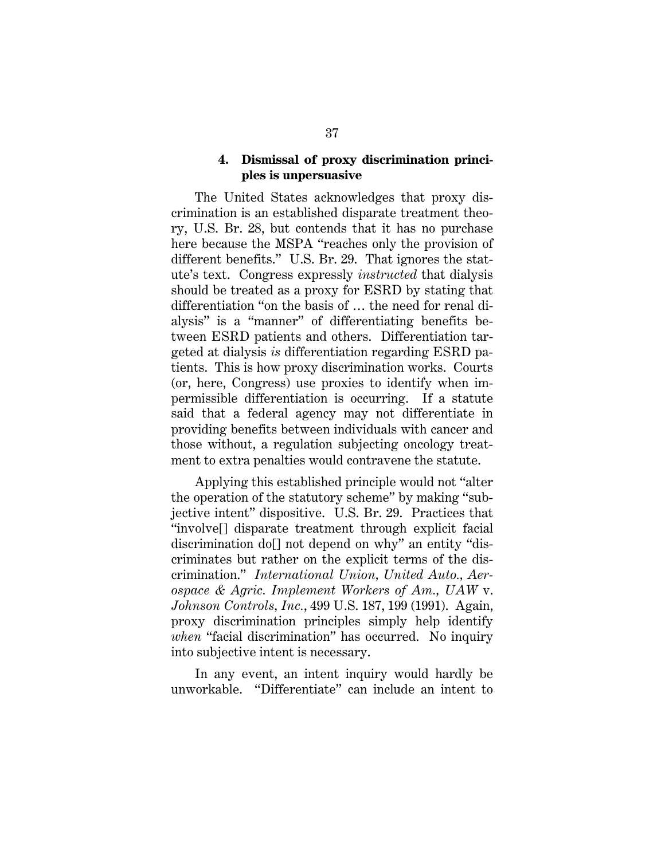#### **4. Dismissal of proxy discrimination principles is unpersuasive**

The United States acknowledges that proxy discrimination is an established disparate treatment theory, U.S. Br. 28, but contends that it has no purchase here because the MSPA "reaches only the provision of different benefits." U.S. Br. 29. That ignores the statute's text. Congress expressly *instructed* that dialysis should be treated as a proxy for ESRD by stating that differentiation "on the basis of … the need for renal dialysis" is a "manner" of differentiating benefits between ESRD patients and others. Differentiation targeted at dialysis *is* differentiation regarding ESRD patients. This is how proxy discrimination works. Courts (or, here, Congress) use proxies to identify when impermissible differentiation is occurring. If a statute said that a federal agency may not differentiate in providing benefits between individuals with cancer and those without, a regulation subjecting oncology treatment to extra penalties would contravene the statute.

Applying this established principle would not "alter the operation of the statutory scheme" by making "subjective intent" dispositive. U.S. Br. 29. Practices that "involve[] disparate treatment through explicit facial discrimination do[] not depend on why" an entity "discriminates but rather on the explicit terms of the discrimination." *International Union, United Auto., Aerospace & Agric. Implement Workers of Am., UAW* v. *Johnson Controls, Inc.*, 499 U.S. 187, 199 (1991). Again, proxy discrimination principles simply help identify *when* "facial discrimination" has occurred. No inquiry into subjective intent is necessary.

In any event, an intent inquiry would hardly be unworkable. "Differentiate" can include an intent to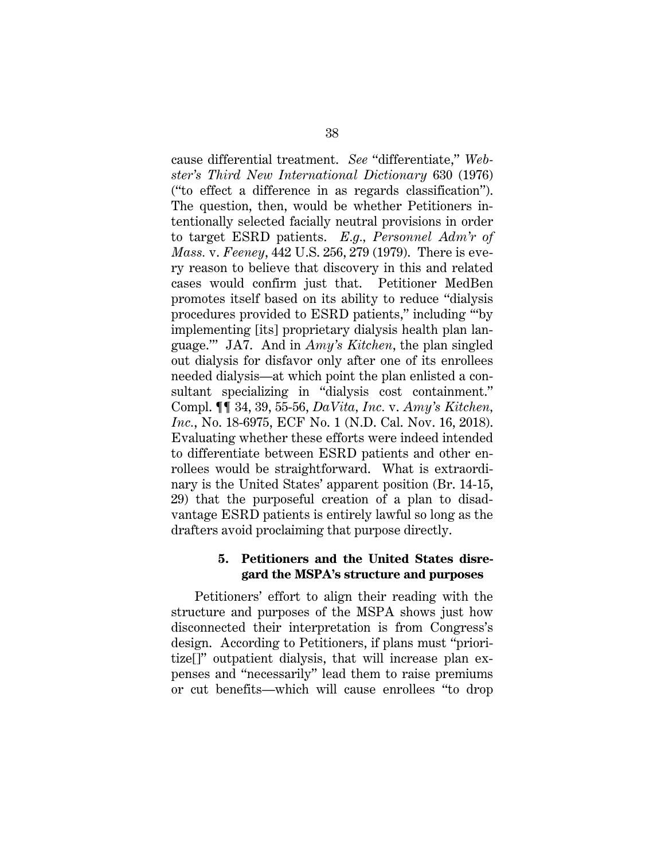cause differential treatment. *See* "differentiate," *Webster's Third New International Dictionary* 630 (1976) ("to effect a difference in as regards classification"). The question, then, would be whether Petitioners intentionally selected facially neutral provisions in order to target ESRD patients. *E.g., Personnel Adm'r of Mass.* v. *Feeney*, 442 U.S. 256, 279 (1979). There is every reason to believe that discovery in this and related cases would confirm just that. Petitioner MedBen promotes itself based on its ability to reduce "dialysis procedures provided to ESRD patients," including '"by implementing [its] proprietary dialysis health plan language.'" JA7. And in *Amy's Kitchen*, the plan singled out dialysis for disfavor only after one of its enrollees needed dialysis—at which point the plan enlisted a consultant specializing in "dialysis cost containment." Compl. ¶¶ 34, 39, 55-56, *DaVita, Inc.* v. *Amy's Kitchen, Inc.*, No. 18-6975, ECF No. 1 (N.D. Cal. Nov. 16, 2018). Evaluating whether these efforts were indeed intended to differentiate between ESRD patients and other enrollees would be straightforward. What is extraordinary is the United States' apparent position (Br. 14-15, 29) that the purposeful creation of a plan to disadvantage ESRD patients is entirely lawful so long as the drafters avoid proclaiming that purpose directly.

#### **5. Petitioners and the United States disregard the MSPA's structure and purposes**

Petitioners' effort to align their reading with the structure and purposes of the MSPA shows just how disconnected their interpretation is from Congress's design. According to Petitioners, if plans must "prioritize[]" outpatient dialysis, that will increase plan expenses and "necessarily" lead them to raise premiums or cut benefits—which will cause enrollees "to drop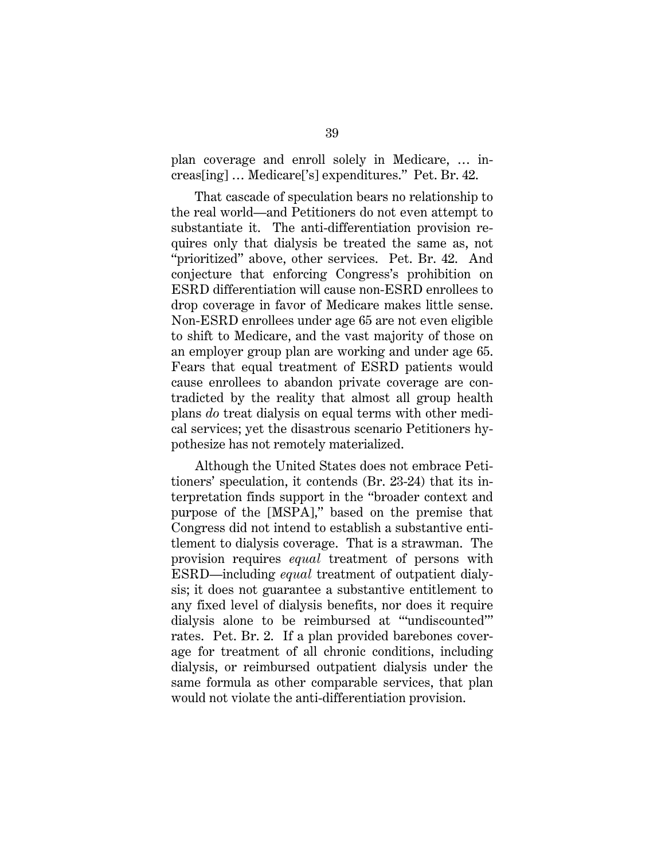plan coverage and enroll solely in Medicare, … increas[ing] … Medicare['s] expenditures." Pet. Br. 42.

That cascade of speculation bears no relationship to the real world—and Petitioners do not even attempt to substantiate it. The anti-differentiation provision requires only that dialysis be treated the same as, not "prioritized" above, other services. Pet. Br. 42. And conjecture that enforcing Congress's prohibition on ESRD differentiation will cause non-ESRD enrollees to drop coverage in favor of Medicare makes little sense. Non-ESRD enrollees under age 65 are not even eligible to shift to Medicare, and the vast majority of those on an employer group plan are working and under age 65. Fears that equal treatment of ESRD patients would cause enrollees to abandon private coverage are contradicted by the reality that almost all group health plans *do* treat dialysis on equal terms with other medical services; yet the disastrous scenario Petitioners hypothesize has not remotely materialized.

Although the United States does not embrace Petitioners' speculation, it contends (Br. 23-24) that its interpretation finds support in the "broader context and purpose of the [MSPA]," based on the premise that Congress did not intend to establish a substantive entitlement to dialysis coverage. That is a strawman. The provision requires *equal* treatment of persons with ESRD—including *equal* treatment of outpatient dialysis; it does not guarantee a substantive entitlement to any fixed level of dialysis benefits, nor does it require dialysis alone to be reimbursed at "'undiscounted'" rates. Pet. Br. 2. If a plan provided barebones coverage for treatment of all chronic conditions, including dialysis, or reimbursed outpatient dialysis under the same formula as other comparable services, that plan would not violate the anti-differentiation provision.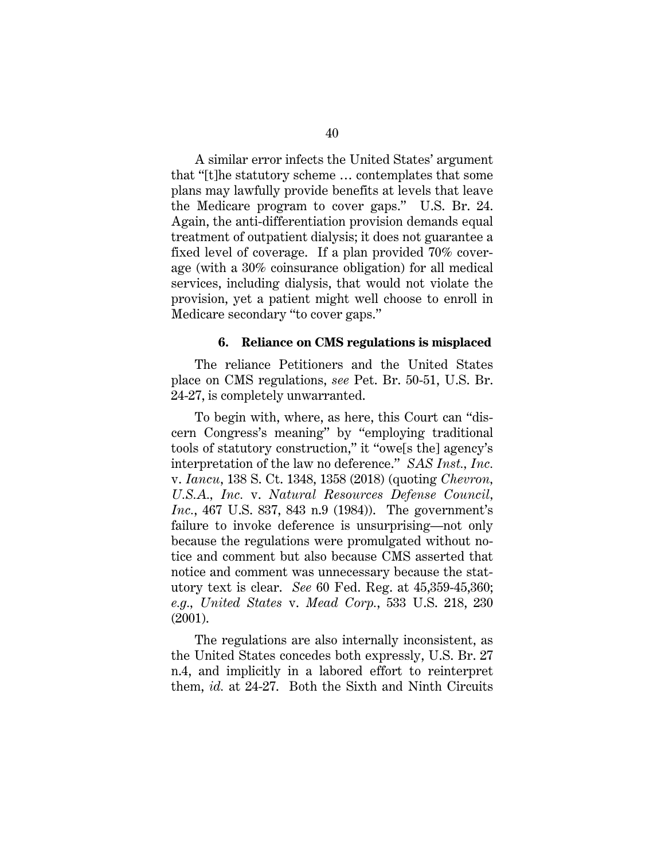A similar error infects the United States' argument that "[t]he statutory scheme … contemplates that some plans may lawfully provide benefits at levels that leave the Medicare program to cover gaps." U.S. Br. 24. Again, the anti-differentiation provision demands equal treatment of outpatient dialysis; it does not guarantee a fixed level of coverage. If a plan provided 70% coverage (with a 30% coinsurance obligation) for all medical services, including dialysis, that would not violate the provision, yet a patient might well choose to enroll in Medicare secondary "to cover gaps."

#### **6. Reliance on CMS regulations is misplaced**

The reliance Petitioners and the United States place on CMS regulations, *see* Pet. Br. 50-51, U.S. Br. 24-27, is completely unwarranted.

To begin with, where, as here, this Court can "discern Congress's meaning" by "employing traditional tools of statutory construction," it "owe[s the] agency's interpretation of the law no deference." *SAS Inst., Inc.* v. *Iancu*, 138 S. Ct. 1348, 1358 (2018) (quoting *Chevron, U.S.A., Inc.* v. *Natural Resources Defense Council, Inc.*, 467 U.S. 837, 843 n.9 (1984)). The government's failure to invoke deference is unsurprising—not only because the regulations were promulgated without notice and comment but also because CMS asserted that notice and comment was unnecessary because the statutory text is clear. *See* 60 Fed. Reg. at 45,359-45,360; *e.g., United States* v. *Mead Corp.*, 533 U.S. 218, 230 (2001).

The regulations are also internally inconsistent, as the United States concedes both expressly, U.S. Br. 27 n.4, and implicitly in a labored effort to reinterpret them, *id.* at 24-27. Both the Sixth and Ninth Circuits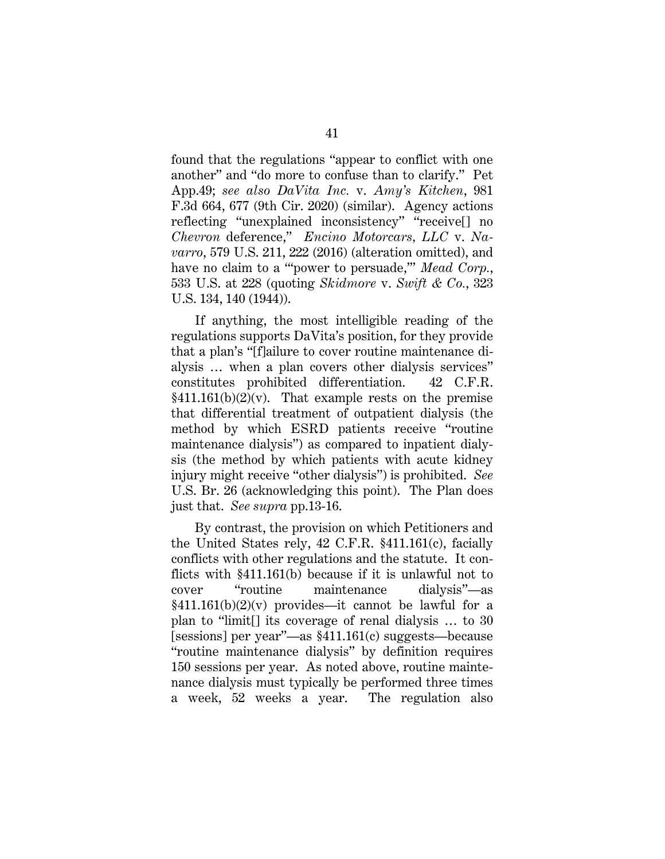found that the regulations "appear to conflict with one another" and "do more to confuse than to clarify." Pet App.49; *see also DaVita Inc.* v. *Amy's Kitchen*, 981 F.3d 664, 677 (9th Cir. 2020) (similar). Agency actions reflecting "unexplained inconsistency" "receive[] no *Chevron* deference," *Encino Motorcars, LLC* v. *Navarro*, 579 U.S. 211, 222 (2016) (alteration omitted), and have no claim to a "'power to persuade,'" *Mead Corp.*, 533 U.S. at 228 (quoting *Skidmore* v. *Swift & Co.*, 323 U.S. 134, 140 (1944)).

If anything, the most intelligible reading of the regulations supports DaVita's position, for they provide that a plan's "[f]ailure to cover routine maintenance dialysis … when a plan covers other dialysis services" constitutes prohibited differentiation. 42 C.F.R.  $$411.161(b)(2)(v)$ . That example rests on the premise that differential treatment of outpatient dialysis (the method by which ESRD patients receive "routine maintenance dialysis") as compared to inpatient dialysis (the method by which patients with acute kidney injury might receive "other dialysis") is prohibited. *See* U.S. Br. 26 (acknowledging this point). The Plan does just that. *See supra* pp.13-16.

By contrast, the provision on which Petitioners and the United States rely, 42 C.F.R. §411.161(c), facially conflicts with other regulations and the statute. It conflicts with §411.161(b) because if it is unlawful not to cover "routine maintenance dialysis"—as  $§411.161(b)(2)(v)$  provides—it cannot be lawful for a plan to "limit[] its coverage of renal dialysis … to 30 [sessions] per year"—as §411.161(c) suggests—because "routine maintenance dialysis" by definition requires 150 sessions per year. As noted above, routine maintenance dialysis must typically be performed three times a week, 52 weeks a year. The regulation also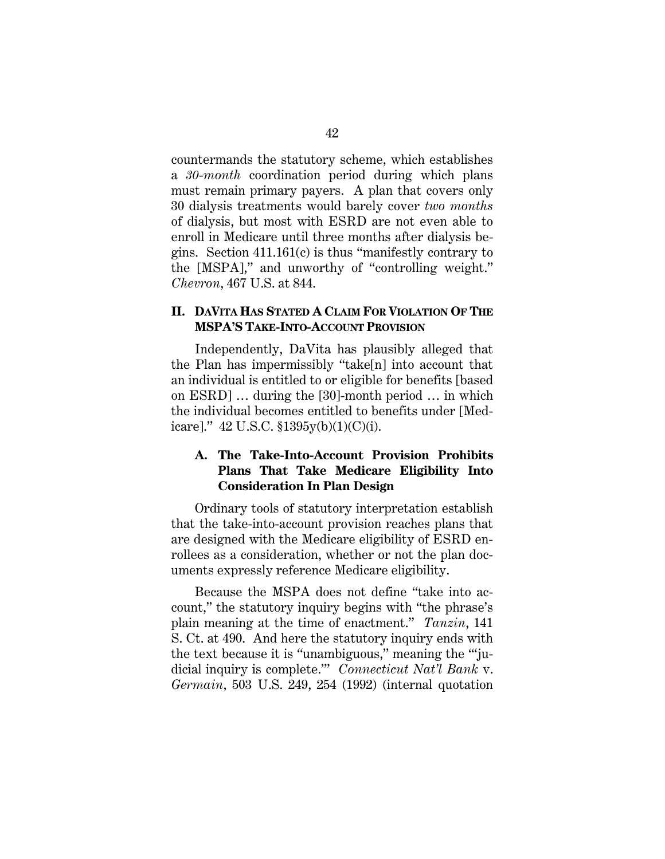countermands the statutory scheme, which establishes a *30*-*month* coordination period during which plans must remain primary payers. A plan that covers only 30 dialysis treatments would barely cover *two months* of dialysis, but most with ESRD are not even able to enroll in Medicare until three months after dialysis begins. Section 411.161(c) is thus "manifestly contrary to the [MSPA]," and unworthy of "controlling weight." *Chevron*, 467 U.S. at 844.

## **II. DAVITA HAS STATED A CLAIM FOR VIOLATION OF THE MSPA'S TAKE-INTO-ACCOUNT PROVISION**

Independently, DaVita has plausibly alleged that the Plan has impermissibly "take[n] into account that an individual is entitled to or eligible for benefits [based on ESRD] … during the [30]-month period … in which the individual becomes entitled to benefits under [Medicare]."  $42 \text{ U.S.C. } $1395y(b)(1)(C)(i)$ .

## **A. The Take-Into-Account Provision Prohibits Plans That Take Medicare Eligibility Into Consideration In Plan Design**

Ordinary tools of statutory interpretation establish that the take-into-account provision reaches plans that are designed with the Medicare eligibility of ESRD enrollees as a consideration, whether or not the plan documents expressly reference Medicare eligibility.

Because the MSPA does not define "take into account," the statutory inquiry begins with "the phrase's plain meaning at the time of enactment." *Tanzin*, 141 S. Ct. at 490. And here the statutory inquiry ends with the text because it is "unambiguous," meaning the "'judicial inquiry is complete.'" *Connecticut Nat'l Bank* v. *Germain*, 503 U.S. 249, 254 (1992) (internal quotation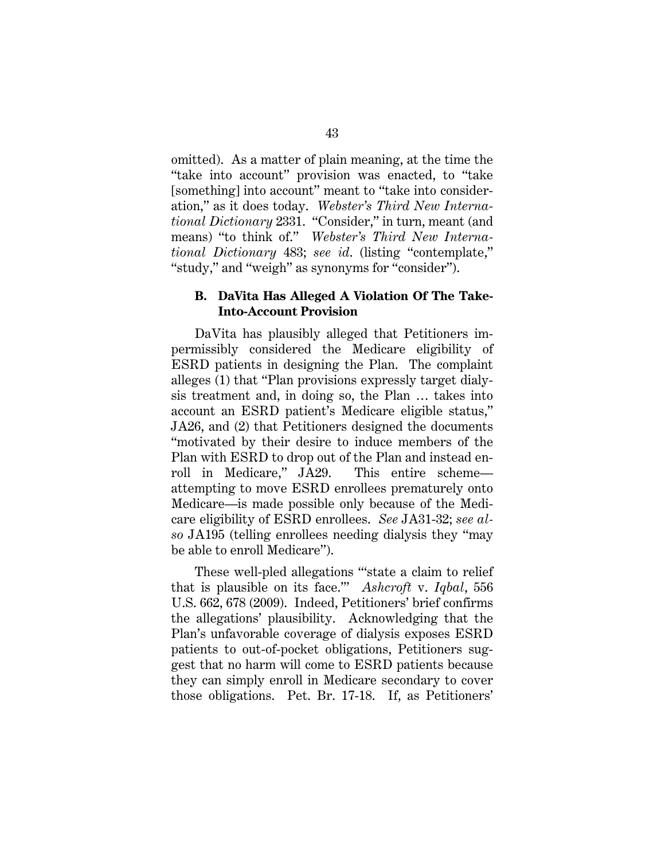omitted). As a matter of plain meaning, at the time the "take into account" provision was enacted, to "take [something] into account" meant to "take into consideration," as it does today. *Webster's Third New International Dictionary* 2331. "Consider," in turn, meant (and means) "to think of." *Webster's Third New International Dictionary* 483; *see id*. (listing "contemplate," "study," and "weigh" as synonyms for "consider").

### **B. DaVita Has Alleged A Violation Of The Take-Into-Account Provision**

DaVita has plausibly alleged that Petitioners impermissibly considered the Medicare eligibility of ESRD patients in designing the Plan. The complaint alleges (1) that "Plan provisions expressly target dialysis treatment and, in doing so, the Plan … takes into account an ESRD patient's Medicare eligible status," JA26, and (2) that Petitioners designed the documents "motivated by their desire to induce members of the Plan with ESRD to drop out of the Plan and instead enroll in Medicare," JA29. This entire scheme attempting to move ESRD enrollees prematurely onto Medicare—is made possible only because of the Medicare eligibility of ESRD enrollees. *See* JA31-32; *see also* JA195 (telling enrollees needing dialysis they "may be able to enroll Medicare").

These well-pled allegations "'state a claim to relief that is plausible on its face.'" *Ashcroft* v. *Iqbal*, 556 U.S. 662, 678 (2009). Indeed, Petitioners' brief confirms the allegations' plausibility. Acknowledging that the Plan's unfavorable coverage of dialysis exposes ESRD patients to out-of-pocket obligations, Petitioners suggest that no harm will come to ESRD patients because they can simply enroll in Medicare secondary to cover those obligations. Pet. Br. 17-18. If, as Petitioners'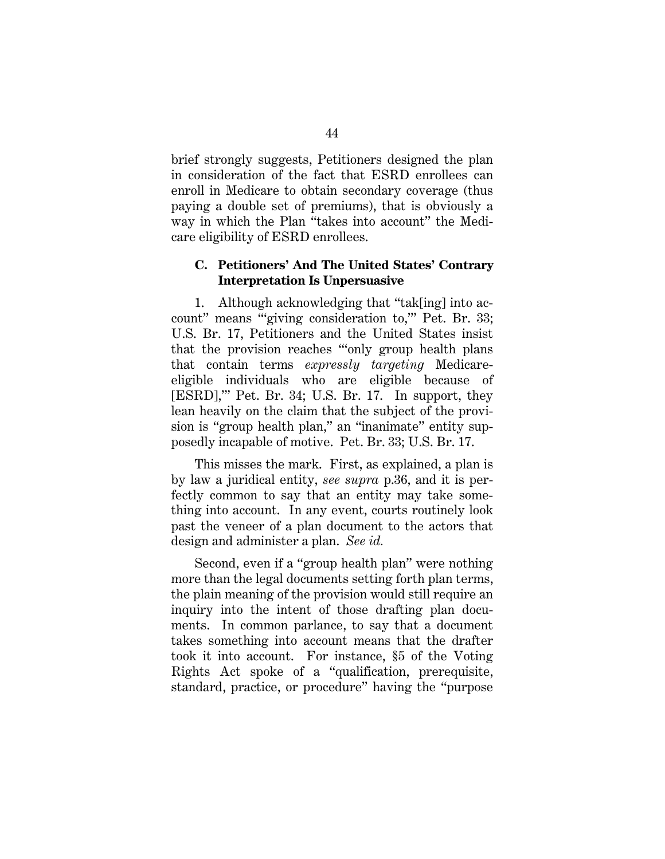brief strongly suggests, Petitioners designed the plan in consideration of the fact that ESRD enrollees can enroll in Medicare to obtain secondary coverage (thus paying a double set of premiums), that is obviously a way in which the Plan "takes into account" the Medicare eligibility of ESRD enrollees.

## **C. Petitioners' And The United States' Contrary Interpretation Is Unpersuasive**

1. Although acknowledging that "tak[ing] into account" means "'giving consideration to,'" Pet. Br. 33; U.S. Br. 17, Petitioners and the United States insist that the provision reaches "'only group health plans that contain terms *expressly targeting* Medicareeligible individuals who are eligible because of [ESRD],'" Pet. Br. 34; U.S. Br. 17. In support, they lean heavily on the claim that the subject of the provision is "group health plan," an "inanimate" entity supposedly incapable of motive. Pet. Br. 33; U.S. Br. 17.

This misses the mark. First, as explained, a plan is by law a juridical entity, *see supra* p.36, and it is perfectly common to say that an entity may take something into account. In any event, courts routinely look past the veneer of a plan document to the actors that design and administer a plan. *See id.*

Second, even if a "group health plan" were nothing more than the legal documents setting forth plan terms, the plain meaning of the provision would still require an inquiry into the intent of those drafting plan documents. In common parlance, to say that a document takes something into account means that the drafter took it into account. For instance, §5 of the Voting Rights Act spoke of a "qualification, prerequisite, standard, practice, or procedure" having the "purpose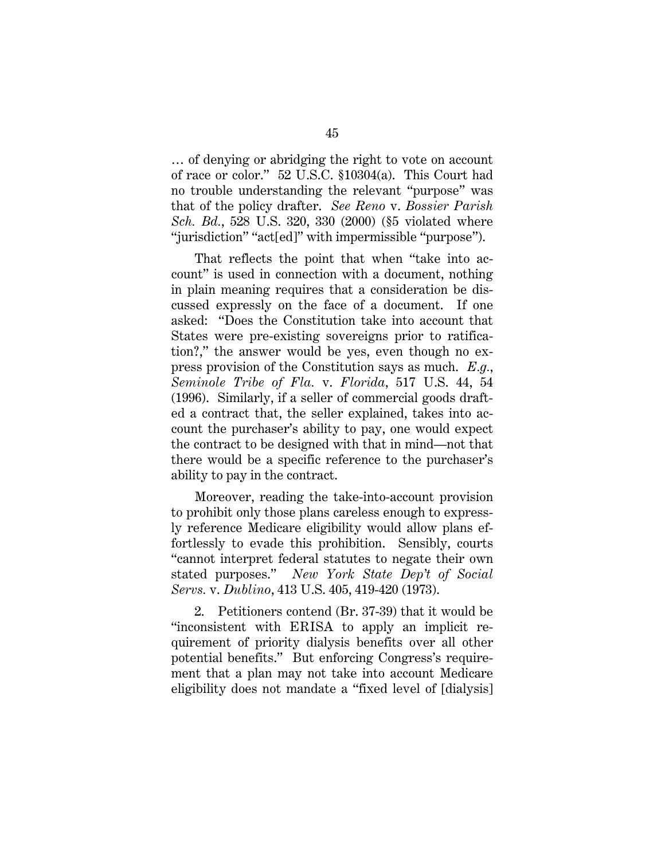… of denying or abridging the right to vote on account of race or color." 52 U.S.C. §10304(a). This Court had no trouble understanding the relevant "purpose" was that of the policy drafter. *See Reno* v. *Bossier Parish Sch. Bd.*, 528 U.S. 320, 330 (2000) (§5 violated where "jurisdiction" "act[ed]" with impermissible "purpose").

That reflects the point that when "take into account" is used in connection with a document, nothing in plain meaning requires that a consideration be discussed expressly on the face of a document. If one asked: "Does the Constitution take into account that States were pre-existing sovereigns prior to ratification?," the answer would be yes, even though no express provision of the Constitution says as much. *E.g.*, *Seminole Tribe of Fla.* v. *Florida*, 517 U.S. 44, 54 (1996). Similarly, if a seller of commercial goods drafted a contract that, the seller explained, takes into account the purchaser's ability to pay, one would expect the contract to be designed with that in mind—not that there would be a specific reference to the purchaser's ability to pay in the contract.

Moreover, reading the take-into-account provision to prohibit only those plans careless enough to expressly reference Medicare eligibility would allow plans effortlessly to evade this prohibition. Sensibly, courts "cannot interpret federal statutes to negate their own stated purposes." *New York State Dep't of Social Servs.* v. *Dublino*, 413 U.S. 405, 419-420 (1973).

2. Petitioners contend (Br. 37-39) that it would be "inconsistent with ERISA to apply an implicit requirement of priority dialysis benefits over all other potential benefits." But enforcing Congress's requirement that a plan may not take into account Medicare eligibility does not mandate a "fixed level of [dialysis]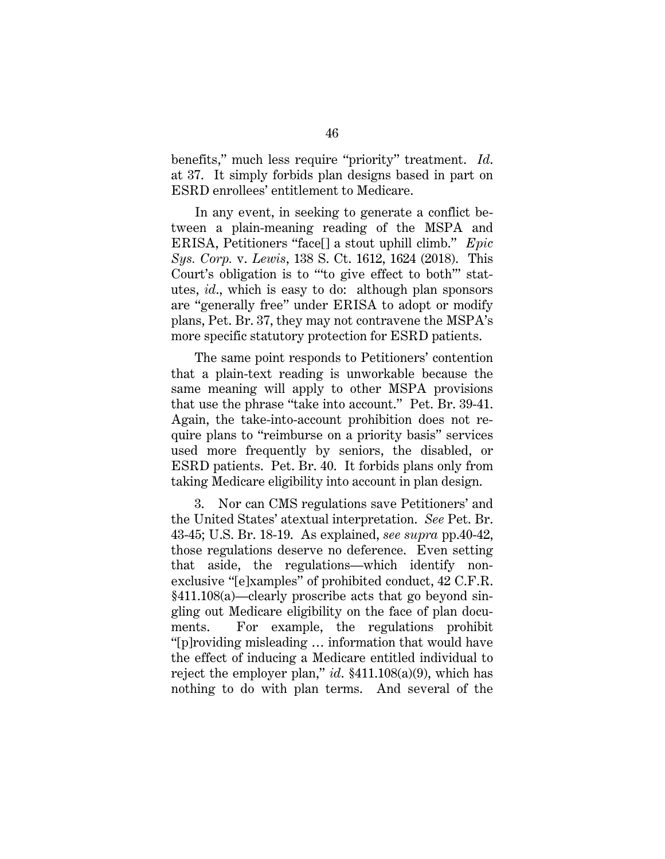benefits," much less require "priority" treatment. *Id*. at 37. It simply forbids plan designs based in part on ESRD enrollees' entitlement to Medicare.

In any event, in seeking to generate a conflict between a plain-meaning reading of the MSPA and ERISA, Petitioners "face[] a stout uphill climb." *Epic Sys. Corp.* v. *Lewis*, 138 S. Ct. 1612, 1624 (2018). This Court's obligation is to "'to give effect to both'" statutes, *id*., which is easy to do: although plan sponsors are "generally free" under ERISA to adopt or modify plans, Pet. Br. 37, they may not contravene the MSPA's more specific statutory protection for ESRD patients.

The same point responds to Petitioners' contention that a plain-text reading is unworkable because the same meaning will apply to other MSPA provisions that use the phrase "take into account." Pet. Br. 39-41. Again, the take-into-account prohibition does not require plans to "reimburse on a priority basis" services used more frequently by seniors, the disabled, or ESRD patients. Pet. Br. 40. It forbids plans only from taking Medicare eligibility into account in plan design.

3. Nor can CMS regulations save Petitioners' and the United States' atextual interpretation. *See* Pet. Br. 43-45; U.S. Br. 18-19. As explained, *see supra* pp.40-42, those regulations deserve no deference. Even setting that aside, the regulations—which identify nonexclusive "[e]xamples" of prohibited conduct, 42 C.F.R. §411.108(a)—clearly proscribe acts that go beyond singling out Medicare eligibility on the face of plan documents. For example, the regulations prohibit "[p]roviding misleading … information that would have the effect of inducing a Medicare entitled individual to reject the employer plan," *id*. §411.108(a)(9), which has nothing to do with plan terms. And several of the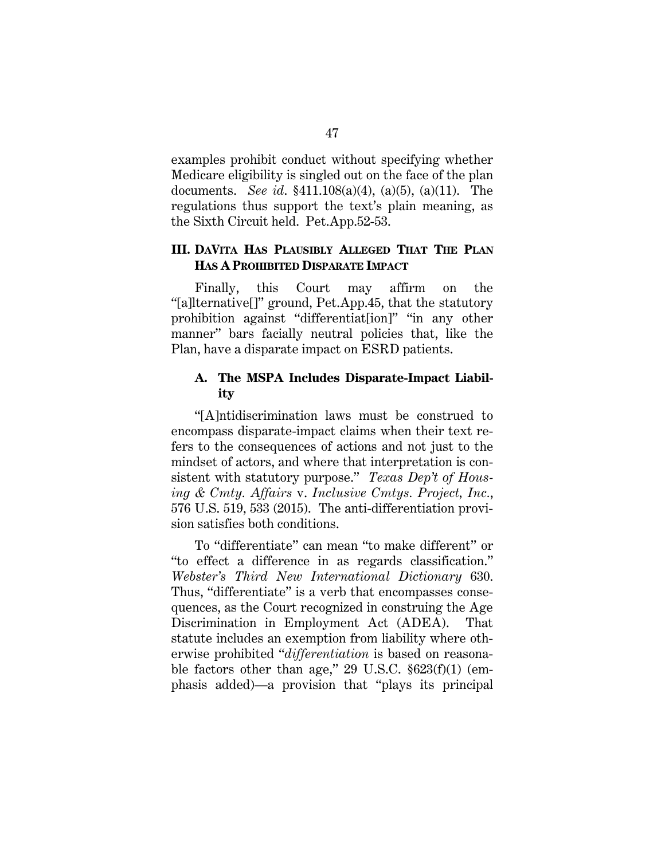examples prohibit conduct without specifying whether Medicare eligibility is singled out on the face of the plan documents. *See id*. §411.108(a)(4), (a)(5), (a)(11). The regulations thus support the text's plain meaning, as the Sixth Circuit held. Pet.App.52-53.

## **III. DAVITA HAS PLAUSIBLY ALLEGED THAT THE PLAN HAS A PROHIBITED DISPARATE IMPACT**

Finally, this Court may affirm on the "[a]lternative[]" ground, Pet.App.45, that the statutory prohibition against "differentiat[ion]" "in any other manner" bars facially neutral policies that, like the Plan, have a disparate impact on ESRD patients.

## **A. The MSPA Includes Disparate-Impact Liability**

"[A]ntidiscrimination laws must be construed to encompass disparate-impact claims when their text refers to the consequences of actions and not just to the mindset of actors, and where that interpretation is consistent with statutory purpose." *Texas Dep't of Housing & Cmty. Affairs* v. *Inclusive Cmtys. Project, Inc.*, 576 U.S. 519, 533 (2015). The anti-differentiation provision satisfies both conditions.

To "differentiate" can mean "to make different" or "to effect a difference in as regards classification." *Webster's Third New International Dictionary* 630. Thus, "differentiate" is a verb that encompasses consequences, as the Court recognized in construing the Age Discrimination in Employment Act (ADEA). That statute includes an exemption from liability where otherwise prohibited "*differentiation* is based on reasonable factors other than age," 29 U.S.C. §623(f)(1) (emphasis added)—a provision that "plays its principal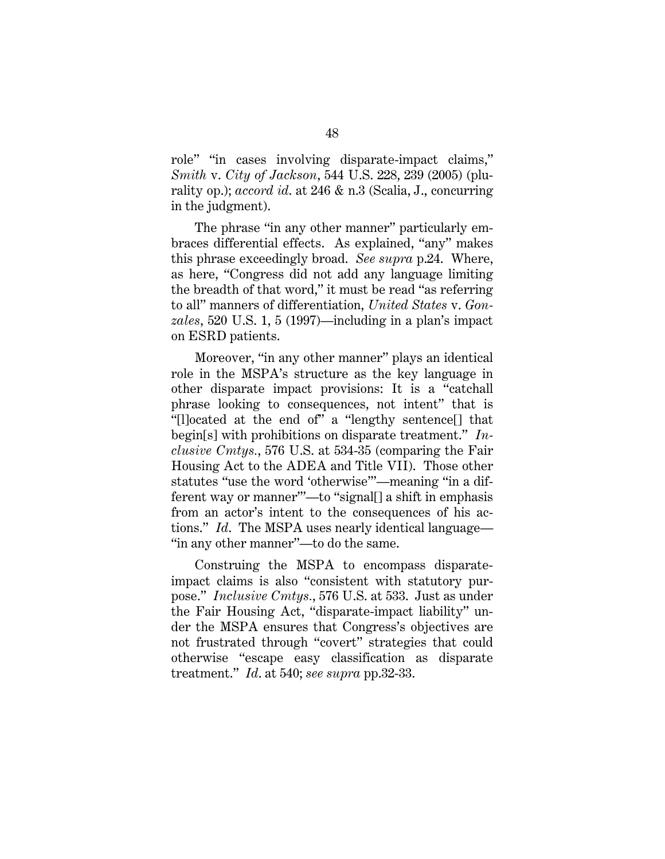role" "in cases involving disparate-impact claims," *Smith* v. *City of Jackson*, 544 U.S. 228, 239 (2005) (plurality op.); *accord id*. at 246 & n.3 (Scalia, J., concurring in the judgment).

The phrase "in any other manner" particularly embraces differential effects. As explained, "any" makes this phrase exceedingly broad. *See supra* p.24. Where, as here, "Congress did not add any language limiting the breadth of that word," it must be read "as referring to all" manners of differentiation, *United States* v. *Gonzales*, 520 U.S. 1, 5 (1997)—including in a plan's impact on ESRD patients.

Moreover, "in any other manner" plays an identical role in the MSPA's structure as the key language in other disparate impact provisions: It is a "catchall phrase looking to consequences, not intent" that is "[l]ocated at the end of" a "lengthy sentence[] that begin[s] with prohibitions on disparate treatment." *Inclusive Cmtys.*, 576 U.S. at 534-35 (comparing the Fair Housing Act to the ADEA and Title VII). Those other statutes "use the word 'otherwise'"—meaning "in a different way or manner'"—to "signal[] a shift in emphasis from an actor's intent to the consequences of his actions." *Id*. The MSPA uses nearly identical language— "in any other manner"—to do the same.

Construing the MSPA to encompass disparateimpact claims is also "consistent with statutory purpose." *Inclusive Cmtys.*, 576 U.S. at 533. Just as under the Fair Housing Act, "disparate-impact liability" under the MSPA ensures that Congress's objectives are not frustrated through "covert" strategies that could otherwise "escape easy classification as disparate treatment." *Id*. at 540; *see supra* pp.32-33.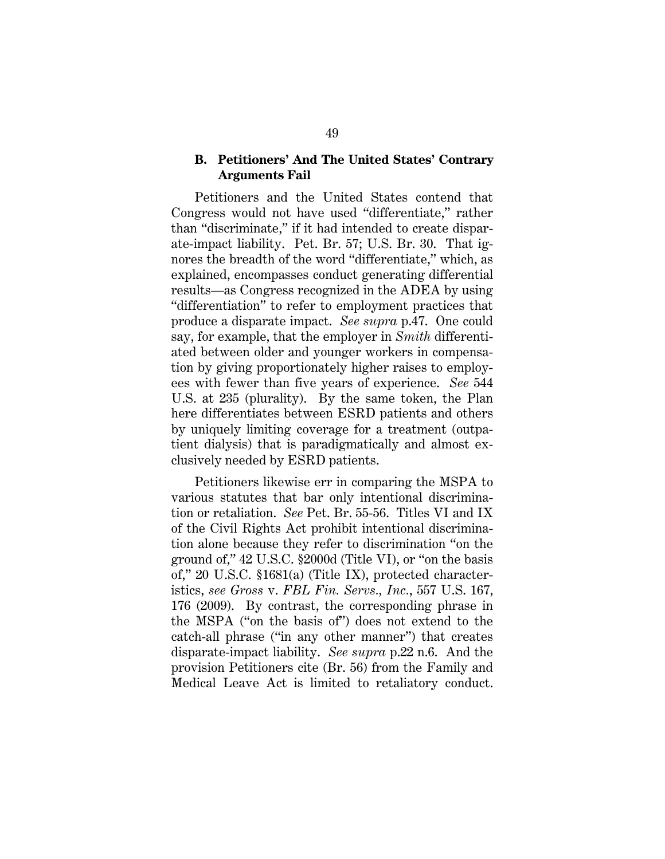#### **B. Petitioners' And The United States' Contrary Arguments Fail**

Petitioners and the United States contend that Congress would not have used "differentiate," rather than "discriminate," if it had intended to create disparate-impact liability. Pet. Br. 57; U.S. Br. 30. That ignores the breadth of the word "differentiate," which, as explained, encompasses conduct generating differential results—as Congress recognized in the ADEA by using "differentiation" to refer to employment practices that produce a disparate impact. *See supra* p.47. One could say, for example, that the employer in *Smith* differentiated between older and younger workers in compensation by giving proportionately higher raises to employees with fewer than five years of experience. *See* 544 U.S. at 235 (plurality). By the same token, the Plan here differentiates between ESRD patients and others by uniquely limiting coverage for a treatment (outpatient dialysis) that is paradigmatically and almost exclusively needed by ESRD patients.

Petitioners likewise err in comparing the MSPA to various statutes that bar only intentional discrimination or retaliation. *See* Pet. Br. 55-56. Titles VI and IX of the Civil Rights Act prohibit intentional discrimination alone because they refer to discrimination "on the ground of," 42 U.S.C. §2000d (Title VI), or "on the basis of," 20 U.S.C. §1681(a) (Title IX), protected characteristics, *see Gross* v. *FBL Fin. Servs., Inc.*, 557 U.S. 167, 176 (2009). By contrast, the corresponding phrase in the MSPA ("on the basis of") does not extend to the catch-all phrase ("in any other manner") that creates disparate-impact liability. *See supra* p.22 n.6. And the provision Petitioners cite (Br. 56) from the Family and Medical Leave Act is limited to retaliatory conduct.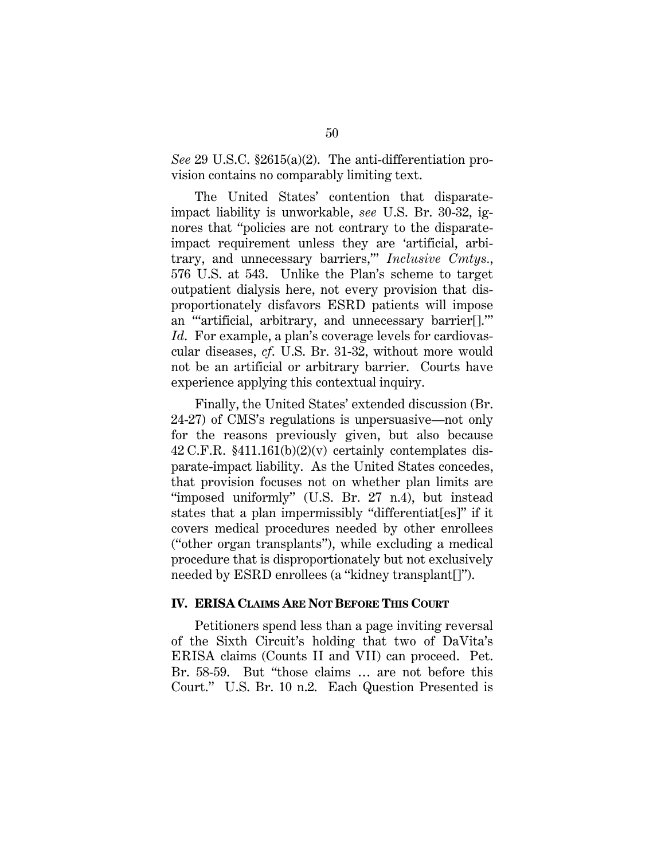*See* 29 U.S.C. §2615(a)(2). The anti-differentiation provision contains no comparably limiting text.

The United States' contention that disparateimpact liability is unworkable, *see* U.S. Br. 30-32, ignores that "policies are not contrary to the disparateimpact requirement unless they are 'artificial, arbitrary, and unnecessary barriers,'" *Inclusive Cmtys.*, 576 U.S. at 543. Unlike the Plan's scheme to target outpatient dialysis here, not every provision that disproportionately disfavors ESRD patients will impose an "'artificial, arbitrary, and unnecessary barrier[].'" *Id*. For example, a plan's coverage levels for cardiovascular diseases, *cf*. U.S. Br. 31-32, without more would not be an artificial or arbitrary barrier. Courts have experience applying this contextual inquiry.

Finally, the United States' extended discussion (Br. 24-27) of CMS's regulations is unpersuasive—not only for the reasons previously given, but also because 42 C.F.R.  $$411.161(b)(2)(v)$  certainly contemplates disparate-impact liability. As the United States concedes, that provision focuses not on whether plan limits are "imposed uniformly" (U.S. Br. 27 n.4), but instead states that a plan impermissibly "differentiat[es]" if it covers medical procedures needed by other enrollees ("other organ transplants"), while excluding a medical procedure that is disproportionately but not exclusively needed by ESRD enrollees (a "kidney transplant[]").

#### **IV. ERISA CLAIMS ARE NOT BEFORE THIS COURT**

Petitioners spend less than a page inviting reversal of the Sixth Circuit's holding that two of DaVita's ERISA claims (Counts II and VII) can proceed. Pet. Br. 58-59. But "those claims … are not before this Court." U.S. Br. 10 n.2. Each Question Presented is